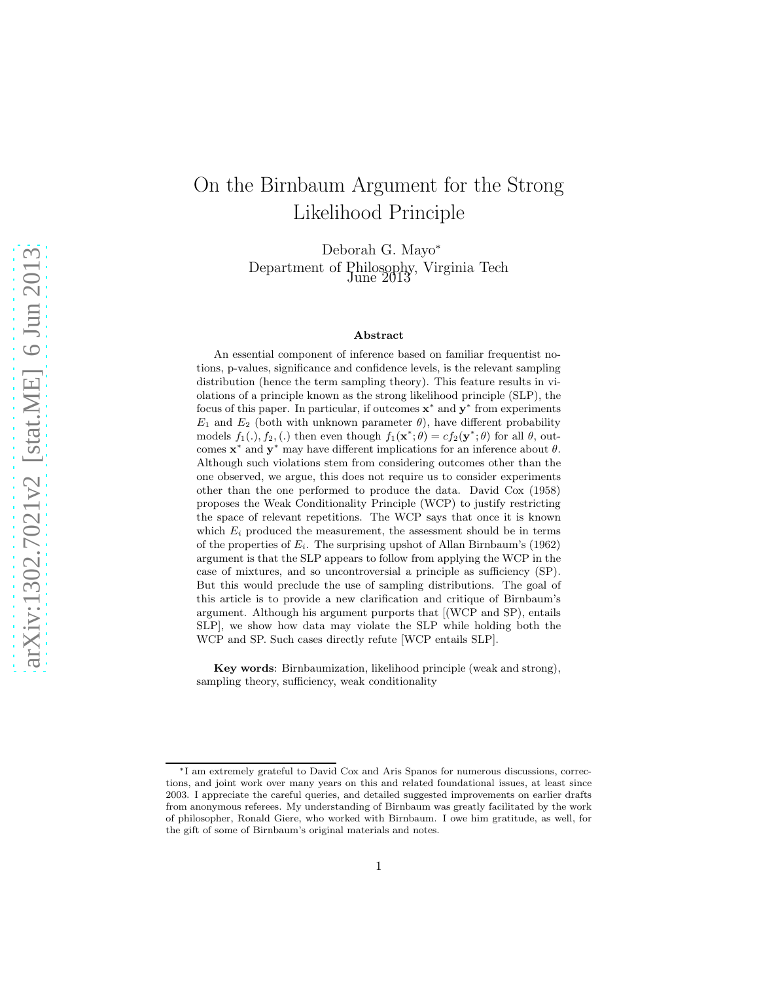# On the Birnbaum Argument for the Strong Likelihood Principle

Deborah G. Mayo<sup>∗</sup> Department of Philosophy, Virginia Tech June 2013

#### Abstract

An essential component of inference based on familiar frequentist notions, p-values, significance and confidence levels, is the relevant sampling distribution (hence the term sampling theory). This feature results in violations of a principle known as the strong likelihood principle (SLP), the focus of this paper. In particular, if outcomes  $\mathbf{x}^*$  and  $\mathbf{y}^*$  from experiments  $E_1$  and  $E_2$  (both with unknown parameter  $\theta$ ), have different probability models  $f_1(.)$ ,  $f_2$ , (.) then even though  $f_1(\mathbf{x}^*; \theta) = cf_2(\mathbf{y}^*; \theta)$  for all  $\theta$ , outcomes  $\mathbf{x}^*$  and  $\mathbf{y}^*$  may have different implications for an inference about  $\theta$ . Although such violations stem from considering outcomes other than the one observed, we argue, this does not require us to consider experiments other than the one performed to produce the data. David Cox (1958) proposes the Weak Conditionality Principle (WCP) to justify restricting the space of relevant repetitions. The WCP says that once it is known which  $E_i$  produced the measurement, the assessment should be in terms of the properties of  $E_i$ . The surprising upshot of Allan Birnbaum's (1962) argument is that the SLP appears to follow from applying the WCP in the case of mixtures, and so uncontroversial a principle as sufficiency (SP). But this would preclude the use of sampling distributions. The goal of this article is to provide a new clarification and critique of Birnbaum's argument. Although his argument purports that [(WCP and SP), entails SLP], we show how data may violate the SLP while holding both the WCP and SP. Such cases directly refute [WCP entails SLP].

Key words: Birnbaumization, likelihood principle (weak and strong), sampling theory, sufficiency, weak conditionality

<sup>∗</sup> I am extremely grateful to David Cox and Aris Spanos for numerous discussions, corrections, and joint work over many years on this and related foundational issues, at least since 2003. I appreciate the careful queries, and detailed suggested improvements on earlier drafts from anonymous referees. My understanding of Birnbaum was greatly facilitated by the work of philosopher, Ronald Giere, who worked with Birnbaum. I owe him gratitude, as well, for the gift of some of Birnbaum's original materials and notes.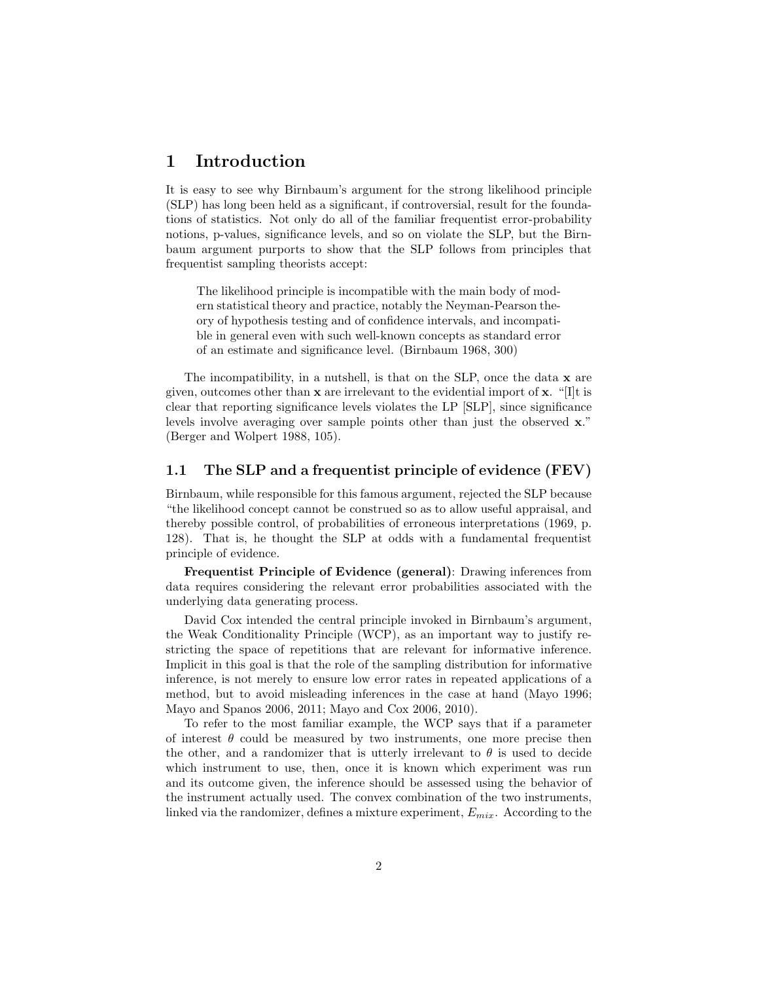# 1 Introduction

It is easy to see why Birnbaum's argument for the strong likelihood principle (SLP) has long been held as a significant, if controversial, result for the foundations of statistics. Not only do all of the familiar frequentist error-probability notions, p-values, significance levels, and so on violate the SLP, but the Birnbaum argument purports to show that the SLP follows from principles that frequentist sampling theorists accept:

The likelihood principle is incompatible with the main body of modern statistical theory and practice, notably the Neyman-Pearson theory of hypothesis testing and of confidence intervals, and incompatible in general even with such well-known concepts as standard error of an estimate and significance level. (Birnbaum 1968, 300)

The incompatibility, in a nutshell, is that on the SLP, once the data  $x$  are given, outcomes other than  $x$  are irrelevant to the evidential import of  $x$ . "[I]t is clear that reporting significance levels violates the LP [SLP], since significance levels involve averaging over sample points other than just the observed x." (Berger and Wolpert 1988, 105).

#### 1.1 The SLP and a frequentist principle of evidence (FEV)

Birnbaum, while responsible for this famous argument, rejected the SLP because "the likelihood concept cannot be construed so as to allow useful appraisal, and thereby possible control, of probabilities of erroneous interpretations (1969, p. 128). That is, he thought the SLP at odds with a fundamental frequentist principle of evidence.

Frequentist Principle of Evidence (general): Drawing inferences from data requires considering the relevant error probabilities associated with the underlying data generating process.

David Cox intended the central principle invoked in Birnbaum's argument, the Weak Conditionality Principle (WCP), as an important way to justify restricting the space of repetitions that are relevant for informative inference. Implicit in this goal is that the role of the sampling distribution for informative inference, is not merely to ensure low error rates in repeated applications of a method, but to avoid misleading inferences in the case at hand (Mayo 1996; Mayo and Spanos 2006, 2011; Mayo and Cox 2006, 2010).

To refer to the most familiar example, the WCP says that if a parameter of interest  $\theta$  could be measured by two instruments, one more precise then the other, and a randomizer that is utterly irrelevant to  $\theta$  is used to decide which instrument to use, then, once it is known which experiment was run and its outcome given, the inference should be assessed using the behavior of the instrument actually used. The convex combination of the two instruments, linked via the randomizer, defines a mixture experiment,  $E_{mix}$ . According to the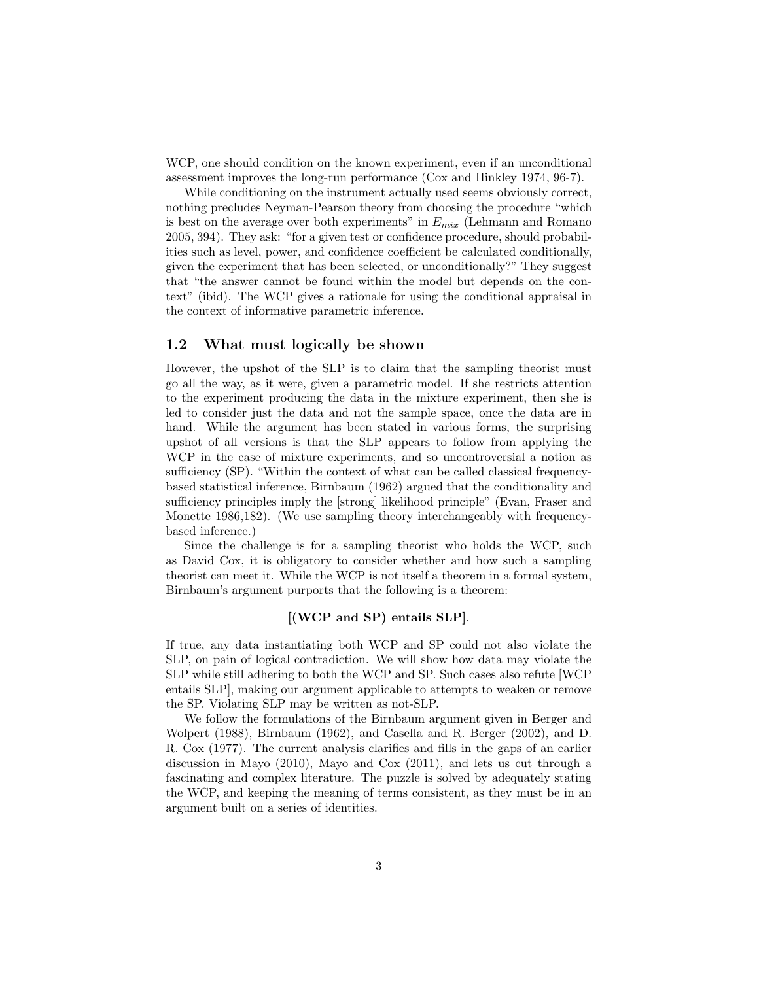WCP, one should condition on the known experiment, even if an unconditional assessment improves the long-run performance (Cox and Hinkley 1974, 96-7).

While conditioning on the instrument actually used seems obviously correct, nothing precludes Neyman-Pearson theory from choosing the procedure "which is best on the average over both experiments" in  $E_{mix}$  (Lehmann and Romano 2005, 394). They ask: "for a given test or confidence procedure, should probabilities such as level, power, and confidence coefficient be calculated conditionally, given the experiment that has been selected, or unconditionally?" They suggest that "the answer cannot be found within the model but depends on the context" (ibid). The WCP gives a rationale for using the conditional appraisal in the context of informative parametric inference.

#### 1.2 What must logically be shown

However, the upshot of the SLP is to claim that the sampling theorist must go all the way, as it were, given a parametric model. If she restricts attention to the experiment producing the data in the mixture experiment, then she is led to consider just the data and not the sample space, once the data are in hand. While the argument has been stated in various forms, the surprising upshot of all versions is that the SLP appears to follow from applying the WCP in the case of mixture experiments, and so uncontroversial a notion as sufficiency (SP). "Within the context of what can be called classical frequencybased statistical inference, Birnbaum (1962) argued that the conditionality and sufficiency principles imply the [strong] likelihood principle" (Evan, Fraser and Monette 1986,182). (We use sampling theory interchangeably with frequencybased inference.)

Since the challenge is for a sampling theorist who holds the WCP, such as David Cox, it is obligatory to consider whether and how such a sampling theorist can meet it. While the WCP is not itself a theorem in a formal system, Birnbaum's argument purports that the following is a theorem:

### [(WCP and SP) entails SLP].

If true, any data instantiating both WCP and SP could not also violate the SLP, on pain of logical contradiction. We will show how data may violate the SLP while still adhering to both the WCP and SP. Such cases also refute [WCP entails SLP], making our argument applicable to attempts to weaken or remove the SP. Violating SLP may be written as not-SLP.

We follow the formulations of the Birnbaum argument given in Berger and Wolpert (1988), Birnbaum (1962), and Casella and R. Berger (2002), and D. R. Cox (1977). The current analysis clarifies and fills in the gaps of an earlier discussion in Mayo (2010), Mayo and Cox (2011), and lets us cut through a fascinating and complex literature. The puzzle is solved by adequately stating the WCP, and keeping the meaning of terms consistent, as they must be in an argument built on a series of identities.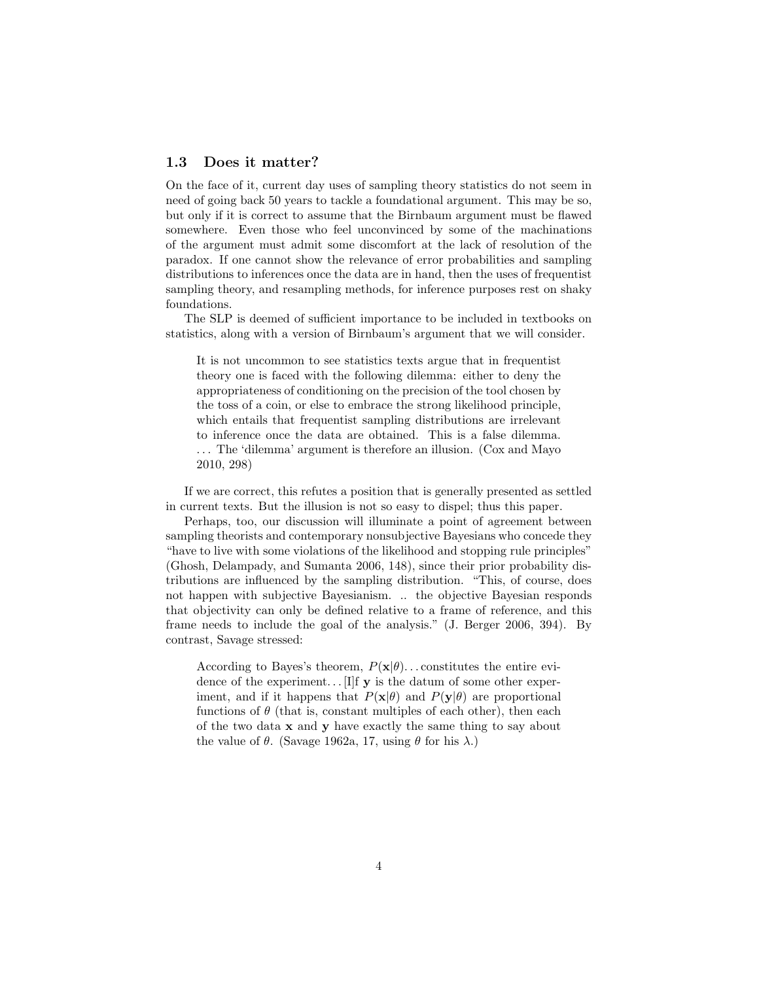### 1.3 Does it matter?

On the face of it, current day uses of sampling theory statistics do not seem in need of going back 50 years to tackle a foundational argument. This may be so, but only if it is correct to assume that the Birnbaum argument must be flawed somewhere. Even those who feel unconvinced by some of the machinations of the argument must admit some discomfort at the lack of resolution of the paradox. If one cannot show the relevance of error probabilities and sampling distributions to inferences once the data are in hand, then the uses of frequentist sampling theory, and resampling methods, for inference purposes rest on shaky foundations.

The SLP is deemed of sufficient importance to be included in textbooks on statistics, along with a version of Birnbaum's argument that we will consider.

It is not uncommon to see statistics texts argue that in frequentist theory one is faced with the following dilemma: either to deny the appropriateness of conditioning on the precision of the tool chosen by the toss of a coin, or else to embrace the strong likelihood principle, which entails that frequentist sampling distributions are irrelevant to inference once the data are obtained. This is a false dilemma. . . . The 'dilemma' argument is therefore an illusion. (Cox and Mayo 2010, 298)

If we are correct, this refutes a position that is generally presented as settled in current texts. But the illusion is not so easy to dispel; thus this paper.

Perhaps, too, our discussion will illuminate a point of agreement between sampling theorists and contemporary nonsubjective Bayesians who concede they "have to live with some violations of the likelihood and stopping rule principles" (Ghosh, Delampady, and Sumanta 2006, 148), since their prior probability distributions are influenced by the sampling distribution. "This, of course, does not happen with subjective Bayesianism. .. the objective Bayesian responds that objectivity can only be defined relative to a frame of reference, and this frame needs to include the goal of the analysis." (J. Berger 2006, 394). By contrast, Savage stressed:

According to Bayes's theorem,  $P(x|\theta)$ ...constitutes the entire evidence of the experiment...  $[I]f y$  is the datum of some other experiment, and if it happens that  $P(x|\theta)$  and  $P(y|\theta)$  are proportional functions of  $\theta$  (that is, constant multiples of each other), then each of the two data x and y have exactly the same thing to say about the value of  $\theta$ . (Savage 1962a, 17, using  $\theta$  for his  $\lambda$ .)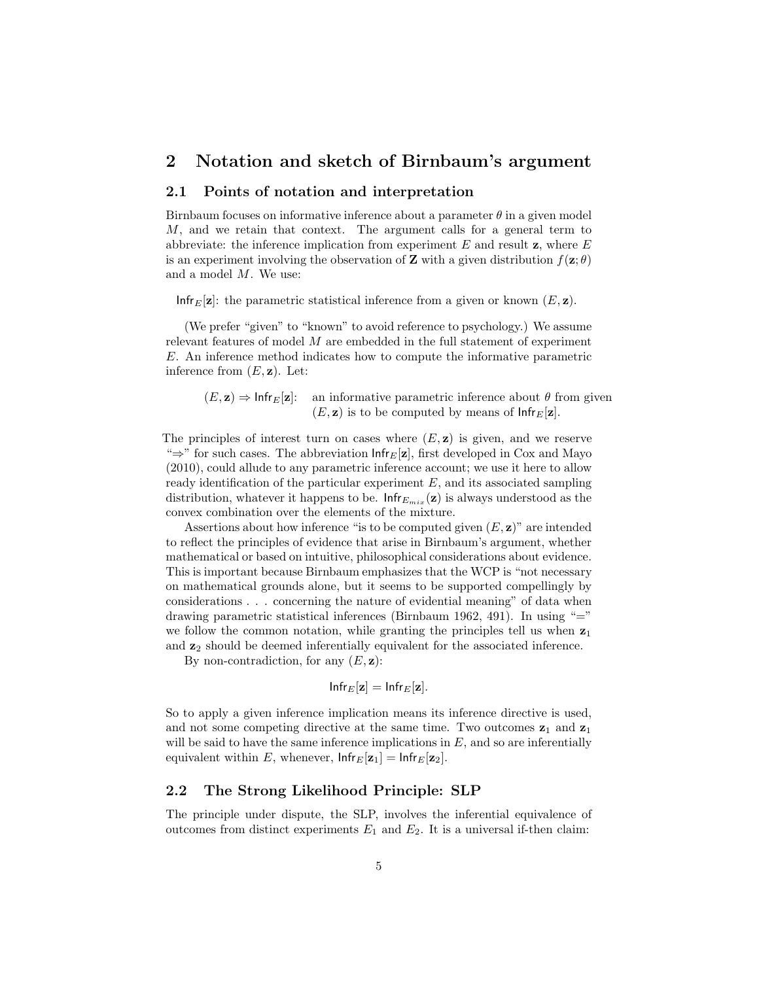### 2 Notation and sketch of Birnbaum's argument

### 2.1 Points of notation and interpretation

Birnbaum focuses on informative inference about a parameter  $\theta$  in a given model M, and we retain that context. The argument calls for a general term to abbreviate: the inference implication from experiment  $E$  and result  $z$ , where  $E$ is an experiment involving the observation of **Z** with a given distribution  $f(\mathbf{z}; \theta)$ and a model M. We use:

Infr<sub>E</sub>[z]: the parametric statistical inference from a given or known  $(E, z)$ .

(We prefer "given" to "known" to avoid reference to psychology.) We assume relevant features of model M are embedded in the full statement of experiment E. An inference method indicates how to compute the informative parametric inference from  $(E, \mathbf{z})$ . Let:

 $(E, \mathbf{z}) \Rightarrow \text{Infr}_E[\mathbf{z}]$ : an informative parametric inference about  $\theta$  from given  $(E, \mathbf{z})$  is to be computed by means of  $\text{Infr}_E[\mathbf{z}]$ .

The principles of interest turn on cases where  $(E, z)$  is given, and we reserve " $\Rightarrow$ " for such cases. The abbreviation  $\mathsf{Inf}_{E}[\mathbf{z}]$ , first developed in Cox and Mayo (2010), could allude to any parametric inference account; we use it here to allow ready identification of the particular experiment  $E$ , and its associated sampling distribution, whatever it happens to be.  $\mathsf{Infr}_{E_{mix}}(\mathbf{z})$  is always understood as the convex combination over the elements of the mixture.

Assertions about how inference "is to be computed given  $(E, \mathbf{z})$ " are intended to reflect the principles of evidence that arise in Birnbaum's argument, whether mathematical or based on intuitive, philosophical considerations about evidence. This is important because Birnbaum emphasizes that the WCP is "not necessary on mathematical grounds alone, but it seems to be supported compellingly by considerations . . . concerning the nature of evidential meaning" of data when drawing parametric statistical inferences (Birnbaum 1962, 491). In using " $=$ " we follow the common notation, while granting the principles tell us when  $z_1$ and  $z_2$  should be deemed inferentially equivalent for the associated inference.

By non-contradiction, for any  $(E, \mathbf{z})$ :

$$
\mathsf{Infr}_E[\mathbf{z}] = \mathsf{Infr}_E[\mathbf{z}].
$$

So to apply a given inference implication means its inference directive is used, and not some competing directive at the same time. Two outcomes  $z_1$  and  $z_1$ will be said to have the same inference implications in  $E$ , and so are inferentially equivalent within E, whenever,  $\ln fr_E[\mathbf{z}_1] = \ln fr_E[\mathbf{z}_2]$ .

### 2.2 The Strong Likelihood Principle: SLP

The principle under dispute, the SLP, involves the inferential equivalence of outcomes from distinct experiments  $E_1$  and  $E_2$ . It is a universal if-then claim: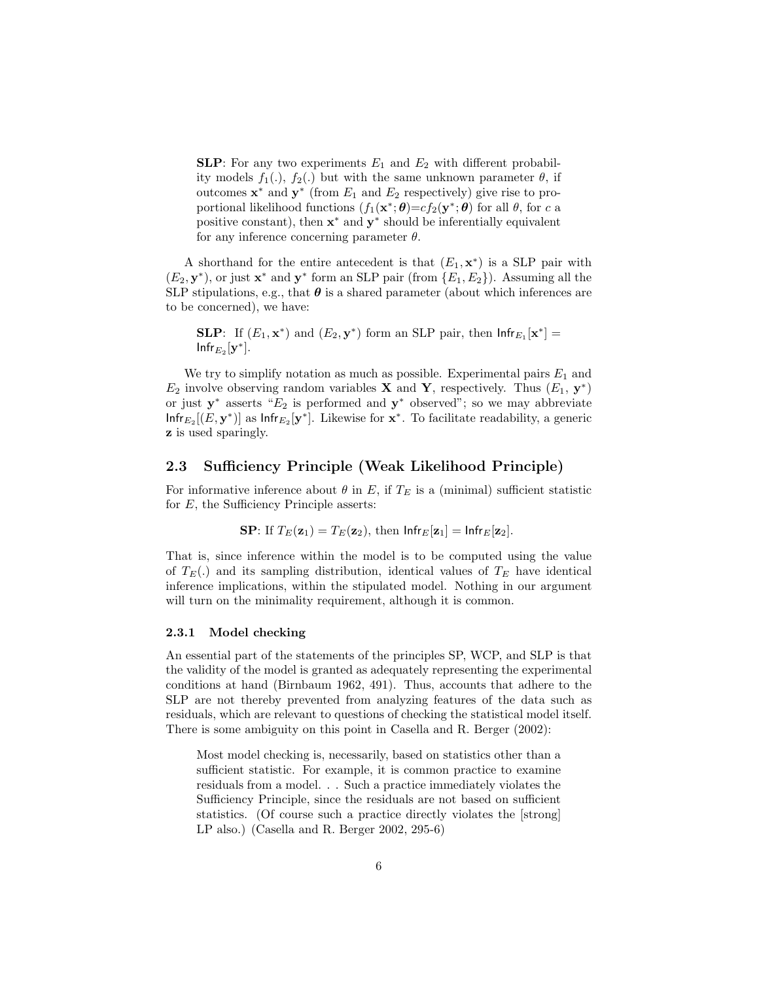**SLP**: For any two experiments  $E_1$  and  $E_2$  with different probability models  $f_1(.)$ ,  $f_2(.)$  but with the same unknown parameter  $\theta$ , if outcomes  $\mathbf{x}^*$  and  $\mathbf{y}^*$  (from  $E_1$  and  $E_2$  respectively) give rise to proportional likelihood functions  $(f_1(\mathbf{x}^*, \theta) = cf_2(\mathbf{y}^*, \theta))$  for all  $\theta$ , for c a positive constant), then  $\mathbf{x}^*$  and  $\mathbf{y}^*$  should be inferentially equivalent for any inference concerning parameter  $\theta$ .

A shorthand for the entire antecedent is that  $(E_1, \mathbf{x}^*)$  is a SLP pair with  $(E_2, \mathbf{y}^*)$ , or just  $\mathbf{x}^*$  and  $\mathbf{y}^*$  form an SLP pair (from  $\{E_1, E_2\}$ ). Assuming all the SLP stipulations, e.g., that  $\theta$  is a shared parameter (about which inferences are to be concerned), we have:

**SLP**: If  $(E_1, \mathbf{x}^*)$  and  $(E_2, \mathbf{y}^*)$  form an SLP pair, then  $\textsf{Infr}_{E_1}[\mathbf{x}^*]=$  $\mathsf{Infr}_{E_2}[\mathbf{y}^*].$ 

We try to simplify notation as much as possible. Experimental pairs  $E_1$  and  $E_2$  involve observing random variables **X** and **Y**, respectively. Thus  $(E_1, \mathbf{y}^*)$ or just  $y^*$  asserts " $E_2$  is performed and  $y^*$  observed"; so we may abbreviate  $\textsf{Infr}_{E_2}[(E, \mathbf{y}^*)]$  as  $\textsf{Infr}_{E_2}[\mathbf{y}^*]$ . Likewise for  $\mathbf{x}^*$ . To facilitate readability, a generic z is used sparingly.

#### 2.3 Sufficiency Principle (Weak Likelihood Principle)

For informative inference about  $\theta$  in E, if  $T_E$  is a (minimal) sufficient statistic for  $E$ , the Sufficiency Principle asserts:

$$
\mathbf{SP}: \text{ If } T_E(\mathbf{z}_1) = T_E(\mathbf{z}_2), \text{ then } \mathsf{Infr}_E[\mathbf{z}_1] = \mathsf{Infr}_E[\mathbf{z}_2].
$$

That is, since inference within the model is to be computed using the value of  $T_E(.)$  and its sampling distribution, identical values of  $T_E$  have identical inference implications, within the stipulated model. Nothing in our argument will turn on the minimality requirement, although it is common.

#### 2.3.1 Model checking

An essential part of the statements of the principles SP, WCP, and SLP is that the validity of the model is granted as adequately representing the experimental conditions at hand (Birnbaum 1962, 491). Thus, accounts that adhere to the SLP are not thereby prevented from analyzing features of the data such as residuals, which are relevant to questions of checking the statistical model itself. There is some ambiguity on this point in Casella and R. Berger (2002):

Most model checking is, necessarily, based on statistics other than a sufficient statistic. For example, it is common practice to examine residuals from a model. . . Such a practice immediately violates the Sufficiency Principle, since the residuals are not based on sufficient statistics. (Of course such a practice directly violates the [strong] LP also.) (Casella and R. Berger 2002, 295-6)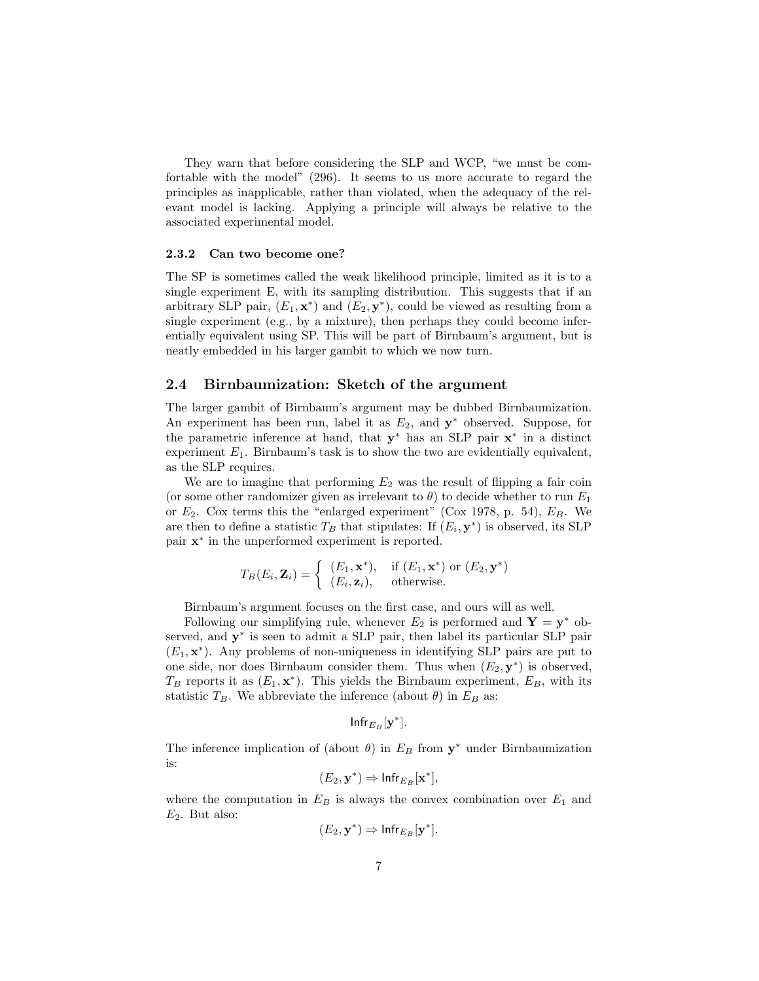They warn that before considering the SLP and WCP, "we must be comfortable with the model" (296). It seems to us more accurate to regard the principles as inapplicable, rather than violated, when the adequacy of the relevant model is lacking. Applying a principle will always be relative to the associated experimental model.

#### 2.3.2 Can two become one?

The SP is sometimes called the weak likelihood principle, limited as it is to a single experiment E, with its sampling distribution. This suggests that if an arbitrary SLP pair,  $(E_1, \mathbf{x}^*)$  and  $(E_2, \mathbf{y}^*)$ , could be viewed as resulting from a single experiment (e.g., by a mixture), then perhaps they could become inferentially equivalent using SP. This will be part of Birnbaum's argument, but is neatly embedded in his larger gambit to which we now turn.

#### 2.4 Birnbaumization: Sketch of the argument

The larger gambit of Birnbaum's argument may be dubbed Birnbaumization. An experiment has been run, label it as  $E_2$ , and  $y^*$  observed. Suppose, for the parametric inference at hand, that  $y^*$  has an SLP pair  $x^*$  in a distinct experiment  $E_1$ . Birnbaum's task is to show the two are evidentially equivalent, as the SLP requires.

We are to imagine that performing  $E_2$  was the result of flipping a fair coin (or some other randomizer given as irrelevant to  $\theta$ ) to decide whether to run  $E_1$ or  $E_2$ . Cox terms this the "enlarged experiment" (Cox 1978, p. 54),  $E_B$ . We are then to define a statistic  $T_B$  that stipulates: If  $(E_i, \mathbf{y}^*)$  is observed, its SLP pair  $\mathbf{x}^*$  in the unperformed experiment is reported.

$$
T_B(E_i, \mathbf{Z}_i) = \begin{cases} (E_1, \mathbf{x}^*), & \text{if } (E_1, \mathbf{x}^*) \text{ or } (E_2, \mathbf{y}^*)\\ (E_i, \mathbf{z}_i), & \text{otherwise.} \end{cases}
$$

Birnbaum's argument focuses on the first case, and ours will as well.

Following our simplifying rule, whenever  $E_2$  is performed and  $\mathbf{Y} = \mathbf{y}^*$  observed, and **y**<sup>\*</sup> is seen to admit a SLP pair, then label its particular SLP pair  $(E_1, \mathbf{x}^*)$ . Any problems of non-uniqueness in identifying SLP pairs are put to one side, nor does Birnbaum consider them. Thus when  $(E_2, \mathbf{y}^*)$  is observed,  $T_B$  reports it as  $(E_1, \mathbf{x}^*)$ . This yields the Birnbaum experiment,  $E_B$ , with its statistic  $T_B$ . We abbreviate the inference (about  $\theta$ ) in  $E_B$  as:

$$
\mathsf{Infr}_{E_B}[\mathbf{y}^*].
$$

The inference implication of (about  $\theta$ ) in  $E_B$  from  $y^*$  under Birnbaumization is:

$$
(E_2,\mathbf{y}^*) \Rightarrow \mathsf{Infr}_{E_B}[\mathbf{x}^*],
$$

where the computation in  $E_B$  is always the convex combination over  $E_1$  and  $E_2$ . But also:

$$
(E_2, \mathbf{y}^*) \Rightarrow \mathsf{Infr}_{E_B}[\mathbf{y}^*].
$$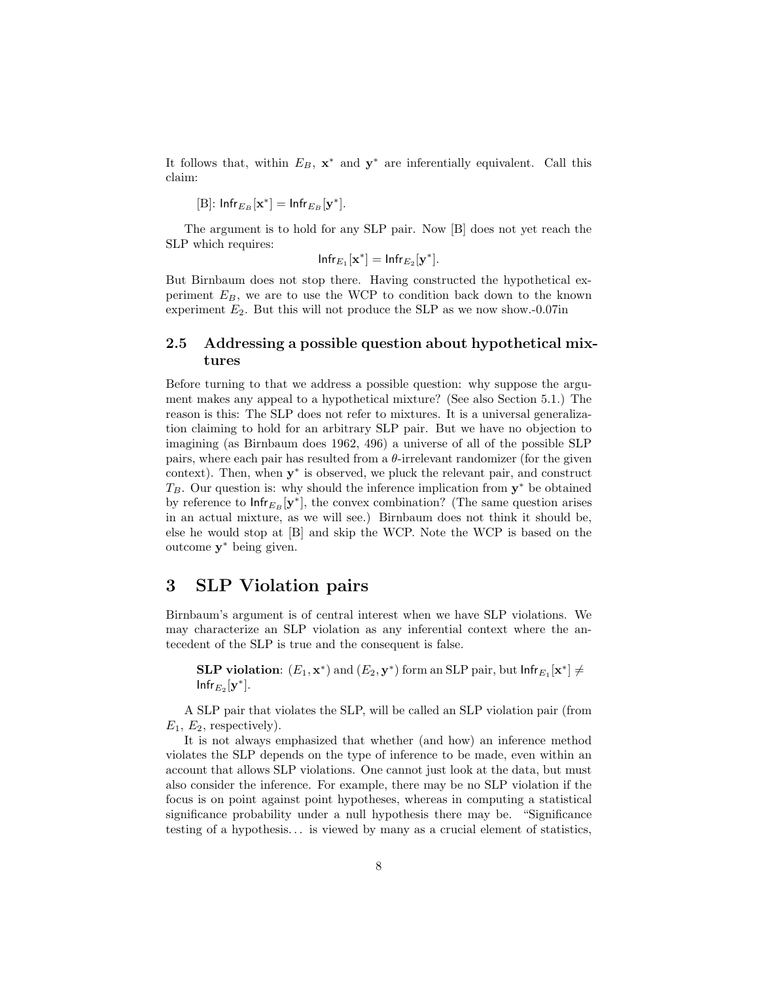It follows that, within  $E_B$ ,  $\mathbf{x}^*$  and  $\mathbf{y}^*$  are inferentially equivalent. Call this claim:

[B]:  $lnfr_{E_B}[\mathbf{x}^*] = lnfr_{E_B}[\mathbf{y}^*]$ .

The argument is to hold for any SLP pair. Now [B] does not yet reach the SLP which requires:

$$
\mathsf{Infr}_{E_1}[\mathbf{x}^*] = \mathsf{Infr}_{E_2}[\mathbf{y}^*].
$$

But Birnbaum does not stop there. Having constructed the hypothetical experiment  $E_B$ , we are to use the WCP to condition back down to the known experiment  $E_2$ . But this will not produce the SLP as we now show.-0.07in

### 2.5 Addressing a possible question about hypothetical mixtures

Before turning to that we address a possible question: why suppose the argument makes any appeal to a hypothetical mixture? (See also Section 5.1.) The reason is this: The SLP does not refer to mixtures. It is a universal generalization claiming to hold for an arbitrary SLP pair. But we have no objection to imagining (as Birnbaum does 1962, 496) a universe of all of the possible SLP pairs, where each pair has resulted from a  $\theta$ -irrelevant randomizer (for the given context). Then, when  $y^*$  is observed, we pluck the relevant pair, and construct  $T_B$ . Our question is: why should the inference implication from  $y^*$  be obtained by reference to  $\inf_{E_B} [\mathbf{y}^*]$ , the convex combination? (The same question arises in an actual mixture, as we will see.) Birnbaum does not think it should be, else he would stop at [B] and skip the WCP. Note the WCP is based on the outcome y <sup>∗</sup> being given.

# 3 SLP Violation pairs

Birnbaum's argument is of central interest when we have SLP violations. We may characterize an SLP violation as any inferential context where the antecedent of the SLP is true and the consequent is false.

**SLP violation**:  $(E_1, \mathbf{x}^*)$  and  $(E_2, \mathbf{y}^*)$  form an SLP pair, but  $\mathsf{Infr}_{E_1}[\mathbf{x}^*] \neq$  $Infr_{E_2}[\mathbf{y}^*].$ 

A SLP pair that violates the SLP, will be called an SLP violation pair (from  $E_1, E_2$ , respectively).

It is not always emphasized that whether (and how) an inference method violates the SLP depends on the type of inference to be made, even within an account that allows SLP violations. One cannot just look at the data, but must also consider the inference. For example, there may be no SLP violation if the focus is on point against point hypotheses, whereas in computing a statistical significance probability under a null hypothesis there may be. "Significance testing of a hypothesis... is viewed by many as a crucial element of statistics,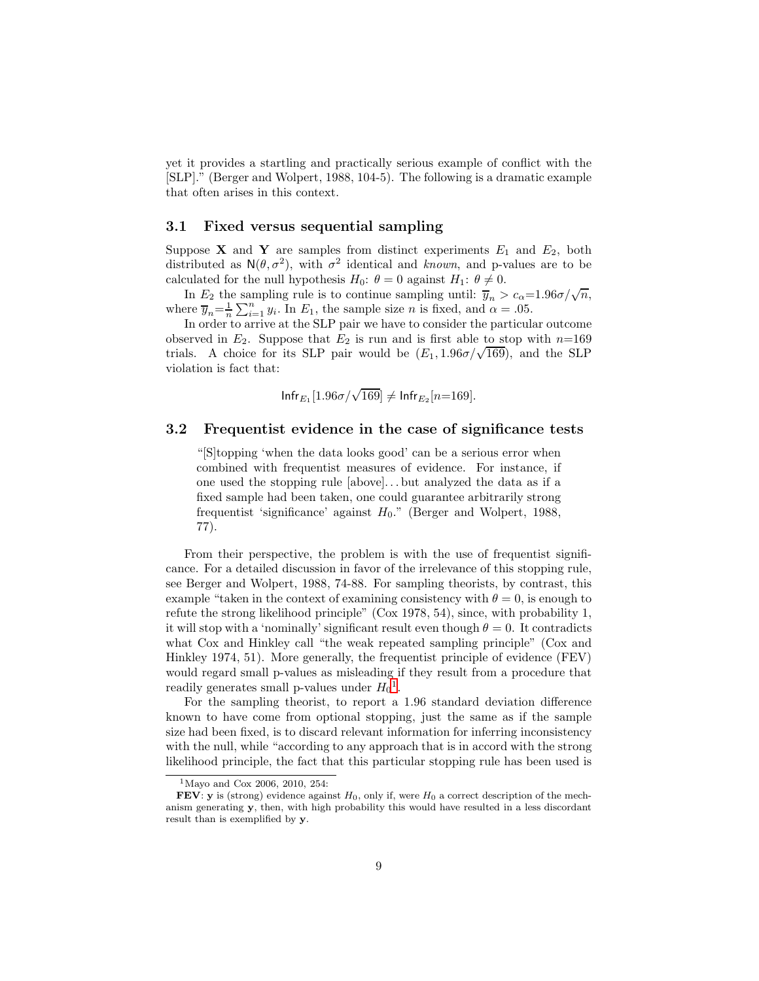yet it provides a startling and practically serious example of conflict with the [SLP]." (Berger and Wolpert, 1988, 104-5). The following is a dramatic example that often arises in this context.

#### 3.1 Fixed versus sequential sampling

Suppose **X** and **Y** are samples from distinct experiments  $E_1$  and  $E_2$ , both distributed as  $N(\theta, \sigma^2)$ , with  $\sigma^2$  identical and *known*, and p-values are to be calculated for the null hypothesis  $H_0$ :  $\theta = 0$  against  $H_1$ :  $\theta \neq 0$ .

In  $E_2$  the sampling rule is to continue sampling until:  $\overline{y}_n > c_\alpha = 1.96\sigma/\sqrt{n}$ , where  $\overline{y}_n = \frac{1}{n} \sum_{i=1}^n y_i$ . In  $E_1$ , the sample size n is fixed, and  $\alpha = .05$ .

In order to arrive at the SLP pair we have to consider the particular outcome observed in  $E_2$ . Suppose that  $E_2$  is run and is first able to stop with  $n=169$ trials. A choice for its SLP pair would be  $(E_1, 1.96\sigma/\sqrt{169})$ , and the SLP violation is fact that:

$$
\mathsf{Infr}_{E_1}[1.96\sigma/\sqrt{169}] \neq \mathsf{Infr}_{E_2}[n{=}169].
$$

### 3.2 Frequentist evidence in the case of significance tests

"[S]topping 'when the data looks good' can be a serious error when combined with frequentist measures of evidence. For instance, if one used the stopping rule [above]. . . but analyzed the data as if a fixed sample had been taken, one could guarantee arbitrarily strong frequentist 'significance' against  $H_0$ ." (Berger and Wolpert, 1988, 77).

From their perspective, the problem is with the use of frequentist significance. For a detailed discussion in favor of the irrelevance of this stopping rule, see Berger and Wolpert, 1988, 74-88. For sampling theorists, by contrast, this example "taken in the context of examining consistency with  $\theta = 0$ , is enough to refute the strong likelihood principle" (Cox 1978, 54), since, with probability 1, it will stop with a 'nominally' significant result even though  $\theta = 0$ . It contradicts what Cox and Hinkley call "the weak repeated sampling principle" (Cox and Hinkley 1974, 51). More generally, the frequentist principle of evidence (FEV) would regard small p-values as misleading if they result from a procedure that readily generates small p-values under  $H_0^{\ 1}$  $H_0^{\ 1}$  $H_0^{\ 1}$ .

For the sampling theorist, to report a 1.96 standard deviation difference known to have come from optional stopping, just the same as if the sample size had been fixed, is to discard relevant information for inferring inconsistency with the null, while "according to any approach that is in accord with the strong likelihood principle, the fact that this particular stopping rule has been used is

<span id="page-8-0"></span> $1$ Mayo and Cox 2006, 2010, 254:

**FEV:** y is (strong) evidence against  $H_0$ , only if, were  $H_0$  a correct description of the mechanism generating y, then, with high probability this would have resulted in a less discordant result than is exemplified by y.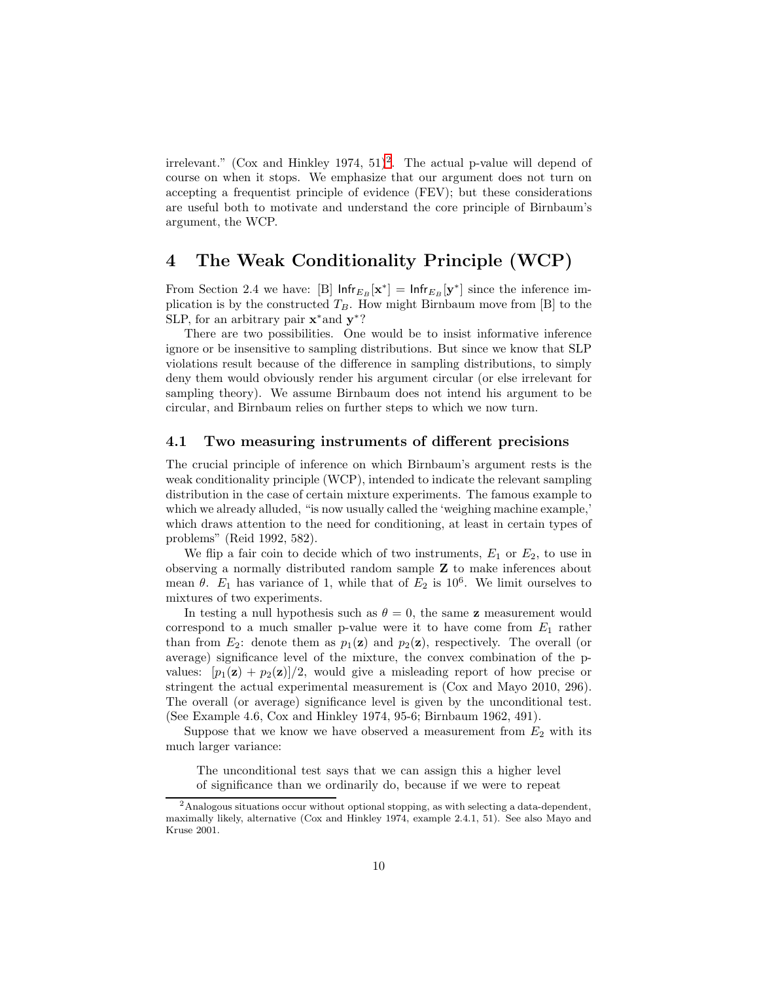$i$ irrelevant." (Cox and Hinkley 1974, 51)<sup>[2](#page-9-0)</sup>. The actual p-value will depend of course on when it stops. We emphasize that our argument does not turn on accepting a frequentist principle of evidence (FEV); but these considerations are useful both to motivate and understand the core principle of Birnbaum's argument, the WCP.

# 4 The Weak Conditionality Principle (WCP)

From Section 2.4 we have: [B]  $\text{Infr}_{E_B}[\mathbf{x}^*] = \text{Infr}_{E_B}[\mathbf{y}^*]$  since the inference implication is by the constructed  $T_B$ . How might Birnbaum move from [B] to the SLP, for an arbitrary pair  $\mathbf{x}^*$  and  $\mathbf{y}^*$ ?

There are two possibilities. One would be to insist informative inference ignore or be insensitive to sampling distributions. But since we know that SLP violations result because of the difference in sampling distributions, to simply deny them would obviously render his argument circular (or else irrelevant for sampling theory). We assume Birnbaum does not intend his argument to be circular, and Birnbaum relies on further steps to which we now turn.

#### 4.1 Two measuring instruments of different precisions

The crucial principle of inference on which Birnbaum's argument rests is the weak conditionality principle (WCP), intended to indicate the relevant sampling distribution in the case of certain mixture experiments. The famous example to which we already alluded, "is now usually called the 'weighing machine example," which draws attention to the need for conditioning, at least in certain types of problems" (Reid 1992, 582).

We flip a fair coin to decide which of two instruments,  $E_1$  or  $E_2$ , to use in observing a normally distributed random sample Z to make inferences about mean  $\theta$ .  $E_1$  has variance of 1, while that of  $E_2$  is 10<sup>6</sup>. We limit ourselves to mixtures of two experiments.

In testing a null hypothesis such as  $\theta = 0$ , the same **z** measurement would correspond to a much smaller p-value were it to have come from  $E_1$  rather than from  $E_2$ : denote them as  $p_1(z)$  and  $p_2(z)$ , respectively. The overall (or average) significance level of the mixture, the convex combination of the pvalues:  $[p_1(\mathbf{z}) + p_2(\mathbf{z})]/2$ , would give a misleading report of how precise or stringent the actual experimental measurement is (Cox and Mayo 2010, 296). The overall (or average) significance level is given by the unconditional test. (See Example 4.6, Cox and Hinkley 1974, 95-6; Birnbaum 1962, 491).

Suppose that we know we have observed a measurement from  $E_2$  with its much larger variance:

The unconditional test says that we can assign this a higher level of significance than we ordinarily do, because if we were to repeat

<span id="page-9-0"></span> $2A$ nalogous situations occur without optional stopping, as with selecting a data-dependent, maximally likely, alternative (Cox and Hinkley 1974, example 2.4.1, 51). See also Mayo and Kruse 2001.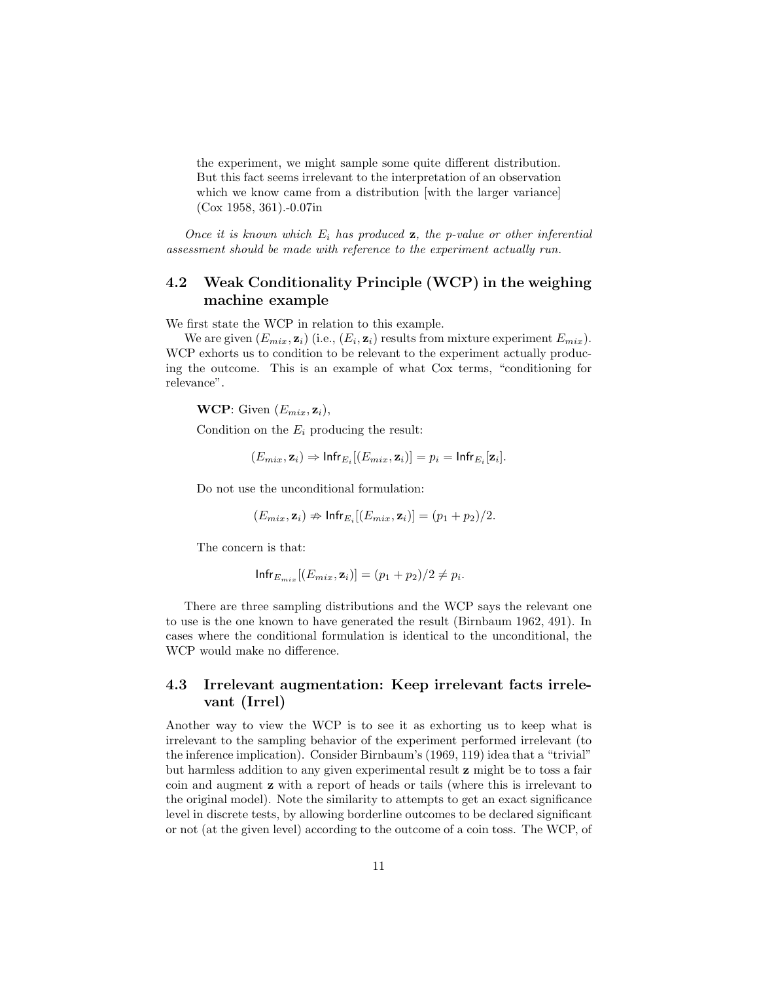the experiment, we might sample some quite different distribution. But this fact seems irrelevant to the interpretation of an observation which we know came from a distribution with the larger variance (Cox 1958, 361).-0.07in

*Once it is known which* E<sup>i</sup> *has produced* z*, the p-value or other inferential assessment should be made with reference to the experiment actually run.*

### 4.2 Weak Conditionality Principle (WCP) in the weighing machine example

We first state the WCP in relation to this example.

We are given  $(E_{mix}, \mathbf{z}_i)$  (i.e.,  $(E_i, \mathbf{z}_i)$  results from mixture experiment  $E_{mix}$ ). WCP exhorts us to condition to be relevant to the experiment actually producing the outcome. This is an example of what Cox terms, "conditioning for relevance".

**WCP**: Given  $(E_{mix}, \mathbf{z}_i)$ ,

Condition on the  $E_i$  producing the result:

$$
(E_{mix}, \mathbf{z}_i) \Rightarrow \mathsf{Infr}_{E_i}[(E_{mix}, \mathbf{z}_i)] = p_i = \mathsf{Infr}_{E_i}[\mathbf{z}_i].
$$

Do not use the unconditional formulation:

$$
(E_{mix}, \mathbf{z}_i) \nRightarrow \mathsf{Infr}_{E_i}[(E_{mix}, \mathbf{z}_i)] = (p_1 + p_2)/2.
$$

The concern is that:

$$
\mathsf{Infr}_{E_{mix}}[(E_{mix},\mathbf{z}_i)] = (p_1 + p_2)/2 \neq p_i.
$$

There are three sampling distributions and the WCP says the relevant one to use is the one known to have generated the result (Birnbaum 1962, 491). In cases where the conditional formulation is identical to the unconditional, the WCP would make no difference.

### 4.3 Irrelevant augmentation: Keep irrelevant facts irrelevant (Irrel)

Another way to view the WCP is to see it as exhorting us to keep what is irrelevant to the sampling behavior of the experiment performed irrelevant (to the inference implication). Consider Birnbaum's (1969, 119) idea that a "trivial" but harmless addition to any given experimental result z might be to toss a fair coin and augment z with a report of heads or tails (where this is irrelevant to the original model). Note the similarity to attempts to get an exact significance level in discrete tests, by allowing borderline outcomes to be declared significant or not (at the given level) according to the outcome of a coin toss. The WCP, of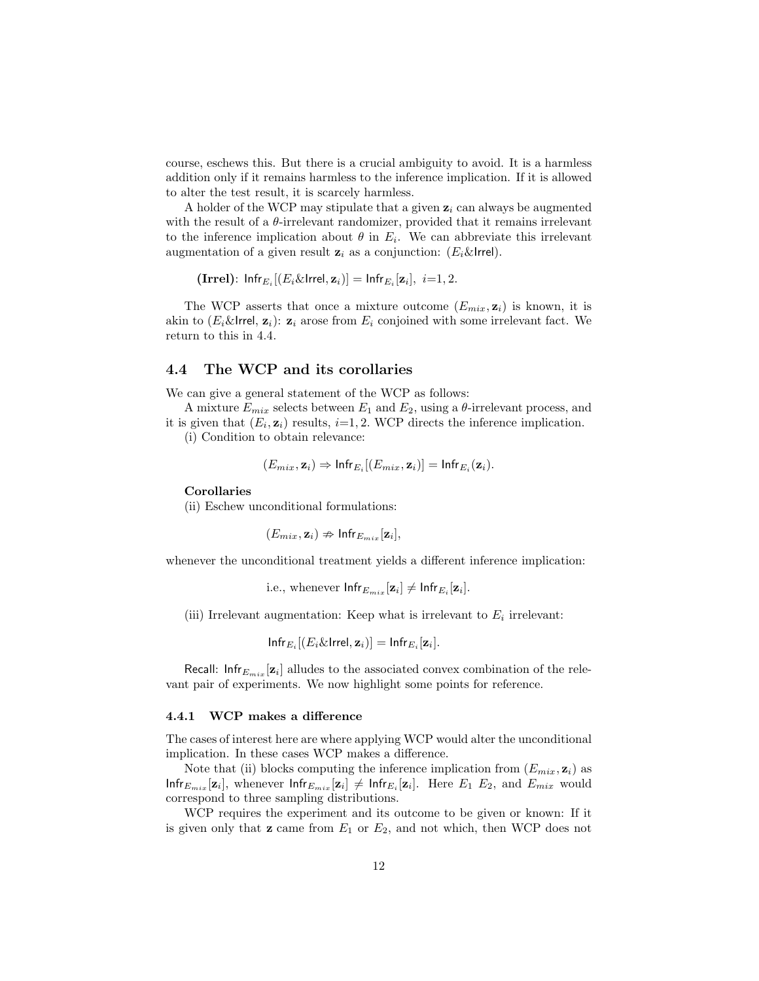course, eschews this. But there is a crucial ambiguity to avoid. It is a harmless addition only if it remains harmless to the inference implication. If it is allowed to alter the test result, it is scarcely harmless.

A holder of the WCP may stipulate that a given  $z_i$  can always be augmented with the result of a  $\theta$ -irrelevant randomizer, provided that it remains irrelevant to the inference implication about  $\theta$  in  $E_i$ . We can abbreviate this irrelevant augmentation of a given result  $z_i$  as a conjunction:  $(E_i \&$ Irrel).

 $(Irrel): Inf<sub>E<sub>i</sub></sub>[(E<sub>i</sub>&Irrel,z<sub>i</sub>)] = Inf<sub>E<sub>i</sub></sub>[z<sub>i</sub>], i=1,2.$ 

The WCP asserts that once a mixture outcome  $(E_{mix}, \mathbf{z}_i)$  is known, it is akin to  $(E_i \& \text{Irrel}, \mathbf{z}_i)$ :  $\mathbf{z}_i$  arose from  $E_i$  conjoined with some irrelevant fact. We return to this in 4.4.

#### 4.4 The WCP and its corollaries

We can give a general statement of the WCP as follows:

A mixture  $E_{mix}$  selects between  $E_1$  and  $E_2$ , using a  $\theta$ -irrelevant process, and it is given that  $(E_i, \mathbf{z}_i)$  results,  $i=1, 2$ . WCP directs the inference implication.

(i) Condition to obtain relevance:

$$
(E_{mix}, \mathbf{z}_i) \Rightarrow \mathsf{Infr}_{E_i}[(E_{mix}, \mathbf{z}_i)] = \mathsf{Infr}_{E_i}(\mathbf{z}_i).
$$

#### Corollaries

(ii) Eschew unconditional formulations:

$$
(E_{mix}, \mathbf{z}_i) \Rightarrow \mathsf{Infr}_{E_{mix}}[\mathbf{z}_i],
$$

whenever the unconditional treatment yields a different inference implication:

i.e., whenever  $\mathsf{Infr}_{E_{mix}}[\mathbf{z}_i] \neq \mathsf{Infr}_{E_i}[\mathbf{z}_i]$ .

(iii) Irrelevant augmentation: Keep what is irrelevant to  $E_i$  irrelevant:

 $\mathsf{Infr}_{E_i}[(E_i \& \mathsf{Irrel}, \mathbf{z}_i)] = \mathsf{Infr}_{E_i}[\mathbf{z}_i].$ 

Recall:  $\text{Infr}_{E_{mix}}[\mathbf{z}_i]$  alludes to the associated convex combination of the relevant pair of experiments. We now highlight some points for reference.

#### 4.4.1 WCP makes a difference

The cases of interest here are where applying WCP would alter the unconditional implication. In these cases WCP makes a difference.

Note that (ii) blocks computing the inference implication from  $(E_{mix}, z_i)$  as  $\textsf{Infr}_{E_{mix}}[\mathbf{z}_i]$ , whenever  $\textsf{Infr}_{E_{mix}}[\mathbf{z}_i] \neq \textsf{Infr}_{E_i}[\mathbf{z}_i]$ . Here  $E_1$   $E_2$ , and  $E_{mix}$  would correspond to three sampling distributions.

WCP requires the experiment and its outcome to be given or known: If it is given only that  $z$  came from  $E_1$  or  $E_2$ , and not which, then WCP does not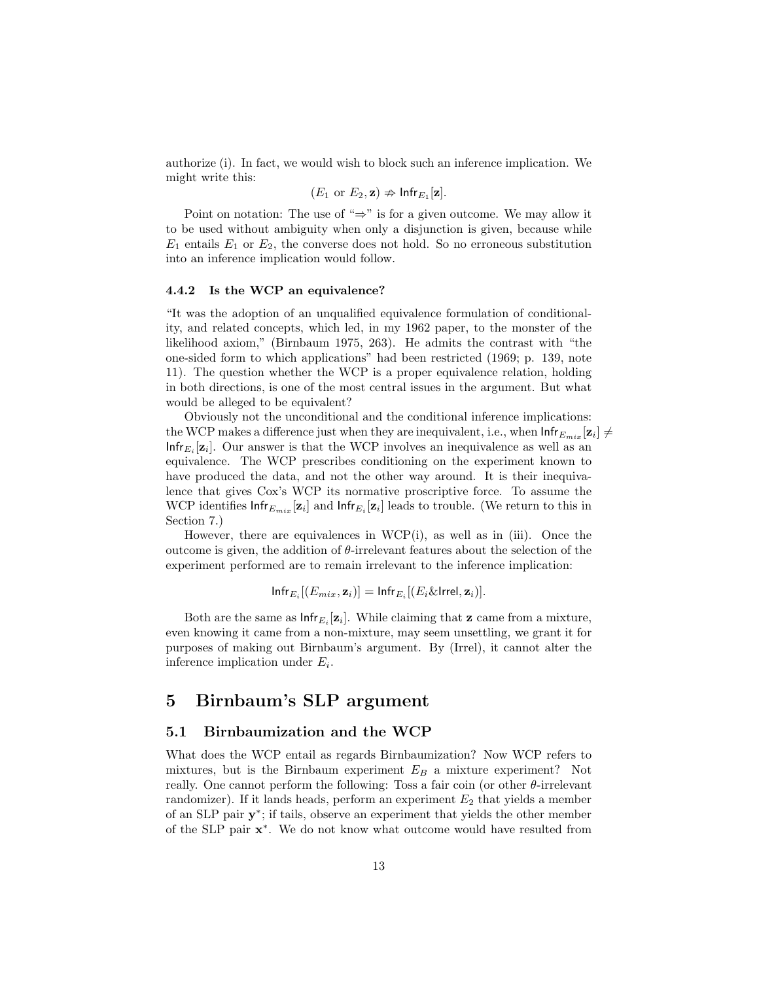authorize (i). In fact, we would wish to block such an inference implication. We might write this:

$$
(E_1 \text{ or } E_2, \mathbf{z}) \nRightarrow \mathsf{Infr}_{E_1}[\mathbf{z}].
$$

Point on notation: The use of " $\Rightarrow$ " is for a given outcome. We may allow it to be used without ambiguity when only a disjunction is given, because while  $E_1$  entails  $E_1$  or  $E_2$ , the converse does not hold. So no erroneous substitution into an inference implication would follow.

#### 4.4.2 Is the WCP an equivalence?

"It was the adoption of an unqualified equivalence formulation of conditionality, and related concepts, which led, in my 1962 paper, to the monster of the likelihood axiom," (Birnbaum 1975, 263). He admits the contrast with "the one-sided form to which applications" had been restricted (1969; p. 139, note 11). The question whether the WCP is a proper equivalence relation, holding in both directions, is one of the most central issues in the argument. But what would be alleged to be equivalent?

Obviously not the unconditional and the conditional inference implications: the WCP makes a difference just when they are inequivalent, i.e., when  $\ln fr_{E_{mix}}[\mathbf{z}_i] \neq$  $\textsf{Infr}_{E_i}[\mathbf{z}_i]$ . Our answer is that the WCP involves an inequivalence as well as an equivalence. The WCP prescribes conditioning on the experiment known to have produced the data, and not the other way around. It is their inequivalence that gives Cox's WCP its normative proscriptive force. To assume the WCP identifies  $\text{Inf}_{E_{mix}}[\mathbf{z}_i]$  and  $\text{Inf}_{E_i}[\mathbf{z}_i]$  leads to trouble. (We return to this in Section 7.)

However, there are equivalences in WCP $(i)$ , as well as in (iii). Once the outcome is given, the addition of  $\theta$ -irrelevant features about the selection of the experiment performed are to remain irrelevant to the inference implication:

$$
\mathsf{Infr}_{E_i}[(E_{mix}, \mathbf{z}_i)] = \mathsf{Infr}_{E_i}[(E_i \& \mathsf{Irrel}, \mathbf{z}_i)].
$$

Both are the same as  $\mathsf{Infr}_{E_i}[\mathbf{z}_i]$ . While claiming that **z** came from a mixture, even knowing it came from a non-mixture, may seem unsettling, we grant it for purposes of making out Birnbaum's argument. By (Irrel), it cannot alter the inference implication under  $E_i$ .

# 5 Birnbaum's SLP argument

#### 5.1 Birnbaumization and the WCP

What does the WCP entail as regards Birnbaumization? Now WCP refers to mixtures, but is the Birnbaum experiment  $E_B$  a mixture experiment? Not really. One cannot perform the following: Toss a fair coin (or other  $\theta$ -irrelevant randomizer). If it lands heads, perform an experiment  $E_2$  that yields a member of an SLP pair  $y^*$ ; if tails, observe an experiment that yields the other member of the SLP pair  $\mathbf{x}^*$ . We do not know what outcome would have resulted from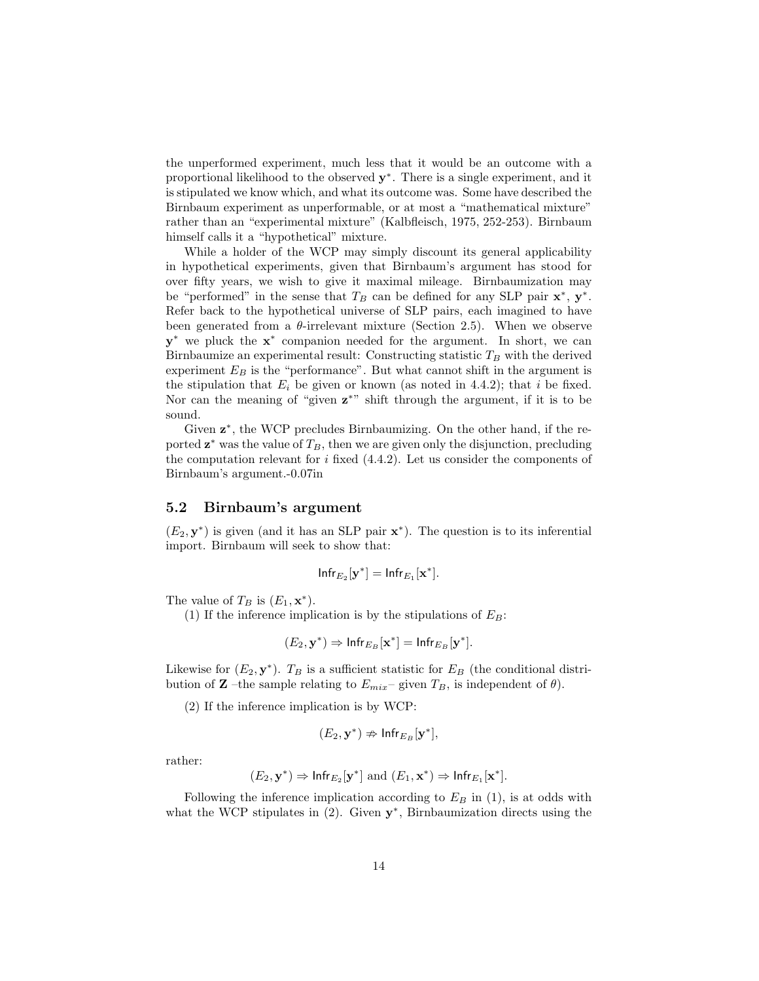the unperformed experiment, much less that it would be an outcome with a proportional likelihood to the observed  $y^*$ . There is a single experiment, and it is stipulated we know which, and what its outcome was. Some have described the Birnbaum experiment as unperformable, or at most a "mathematical mixture" rather than an "experimental mixture" (Kalbfleisch, 1975, 252-253). Birnbaum himself calls it a "hypothetical" mixture.

While a holder of the WCP may simply discount its general applicability in hypothetical experiments, given that Birnbaum's argument has stood for over fifty years, we wish to give it maximal mileage. Birnbaumization may be "performed" in the sense that  $T_B$  can be defined for any SLP pair  $\mathbf{x}^*, \mathbf{y}^*$ . Refer back to the hypothetical universe of SLP pairs, each imagined to have been generated from a  $\theta$ -irrelevant mixture (Section 2.5). When we observe y<sup>∗</sup> we pluck the x<sup>\*</sup> companion needed for the argument. In short, we can Birnbaumize an experimental result: Constructing statistic  $T_B$  with the derived experiment  $E_B$  is the "performance". But what cannot shift in the argument is the stipulation that  $E_i$  be given or known (as noted in 4.4.2); that i be fixed. Nor can the meaning of "given  $z^*$ " shift through the argument, if it is to be sound.

Given  $z^*$ , the WCP precludes Birnbaumizing. On the other hand, if the reported  $z^*$  was the value of  $T_B$ , then we are given only the disjunction, precluding the computation relevant for  $i$  fixed  $(4.4.2)$ . Let us consider the components of Birnbaum's argument.-0.07in

#### 5.2 Birnbaum's argument

 $(E_2, \mathbf{y}^*)$  is given (and it has an SLP pair  $\mathbf{x}^*$ ). The question is to its inferential import. Birnbaum will seek to show that:

$$
\mathsf{Infr}_{E_2}[\mathbf{y}^*] = \mathsf{Infr}_{E_1}[\mathbf{x}^*].
$$

The value of  $T_B$  is  $(E_1, \mathbf{x}^*)$ .

(1) If the inference implication is by the stipulations of  $E_B$ :

$$
(E_2, \mathbf{y}^*) \Rightarrow \mathsf{Infr}_{E_B}[\mathbf{x}^*] = \mathsf{Infr}_{E_B}[\mathbf{y}^*].
$$

Likewise for  $(E_2, \mathbf{y}^*)$ .  $T_B$  is a sufficient statistic for  $E_B$  (the conditional distribution of **Z** –the sample relating to  $E_{mix}$  – given  $T_B$ , is independent of  $\theta$ ).

(2) If the inference implication is by WCP:

$$
(E_2, \mathbf{y}^*) \nRightarrow \mathsf{Infr}_{E_B}[\mathbf{y}^*],
$$

rather:

$$
(E_2, \mathbf{y}^*) \Rightarrow \mathsf{Infr}_{E_2}[\mathbf{y}^*] \text{ and } (E_1, \mathbf{x}^*) \Rightarrow \mathsf{Infr}_{E_1}[\mathbf{x}^*].
$$

Following the inference implication according to  $E_B$  in (1), is at odds with what the WCP stipulates in  $(2)$ . Given  $y^*$ , Birnbaumization directs using the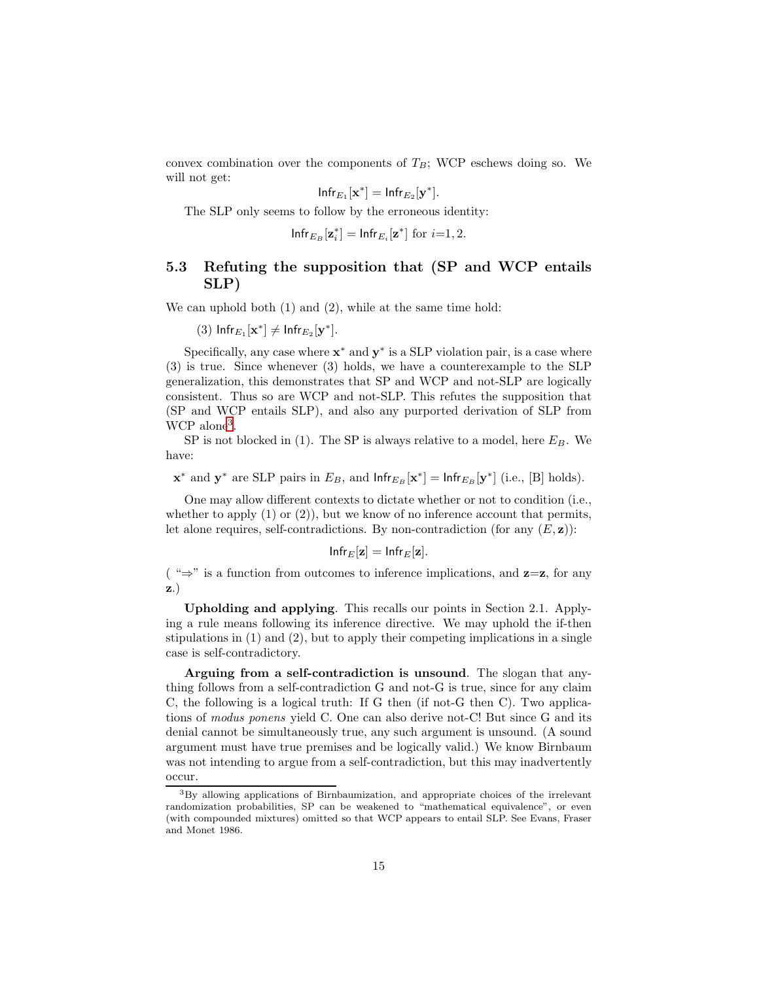convex combination over the components of  $T_B$ ; WCP eschews doing so. We will not get:

$$
\mathsf{Infr}_{E_1}[\mathbf{x}^*] = \mathsf{Infr}_{E_2}[\mathbf{y}^*].
$$

The SLP only seems to follow by the erroneous identity:

$$
\mathsf{Infr}_{E_B}[\mathbf{z}_i^*] = \mathsf{Infr}_{E_i}[\mathbf{z}^*] \text{ for } i=1,2.
$$

### 5.3 Refuting the supposition that (SP and WCP entails SLP)

We can uphold both  $(1)$  and  $(2)$ , while at the same time hold:

(3)  $\mathsf{Infr}_{E_1}[\mathbf{x}^*] \neq \mathsf{Infr}_{E_2}[\mathbf{y}^*].$ 

Specifically, any case where  $\mathbf{x}^*$  and  $\mathbf{y}^*$  is a SLP violation pair, is a case where (3) is true. Since whenever (3) holds, we have a counterexample to the SLP generalization, this demonstrates that SP and WCP and not-SLP are logically consistent. Thus so are WCP and not-SLP. This refutes the supposition that (SP and WCP entails SLP), and also any purported derivation of SLP from WCP alone<sup>[3](#page-14-0)</sup>.

SP is not blocked in (1). The SP is always relative to a model, here  $E_B$ . We have:

 $\mathbf{x}^*$  and  $\mathbf{y}^*$  are SLP pairs in  $E_B$ , and  $\mathsf{Infr}_{E_B}[\mathbf{x}^*] = \mathsf{Infr}_{E_B}[\mathbf{y}^*]$  (i.e., [B] holds).

One may allow different contexts to dictate whether or not to condition (i.e., whether to apply  $(1)$  or  $(2)$ ), but we know of no inference account that permits, let alone requires, self-contradictions. By non-contradiction (for any  $(E, \mathbf{z})$ ):

$$
\mathsf{Infr}_E[\mathbf{z}] = \mathsf{Infr}_E[\mathbf{z}].
$$

 $($  " $\Rightarrow$ " is a function from outcomes to inference implications, and **z=z**, for any z.)

Upholding and applying. This recalls our points in Section 2.1. Applying a rule means following its inference directive. We may uphold the if-then stipulations in (1) and (2), but to apply their competing implications in a single case is self-contradictory.

Arguing from a self-contradiction is unsound. The slogan that anything follows from a self-contradiction G and not-G is true, since for any claim C, the following is a logical truth: If G then (if not-G then C). Two applications of *modus ponens* yield C. One can also derive not-C! But since G and its denial cannot be simultaneously true, any such argument is unsound. (A sound argument must have true premises and be logically valid.) We know Birnbaum was not intending to argue from a self-contradiction, but this may inadvertently occur.

<span id="page-14-0"></span><sup>3</sup>By allowing applications of Birnbaumization, and appropriate choices of the irrelevant randomization probabilities, SP can be weakened to "mathematical equivalence", or even (with compounded mixtures) omitted so that WCP appears to entail SLP. See Evans, Fraser and Monet 1986.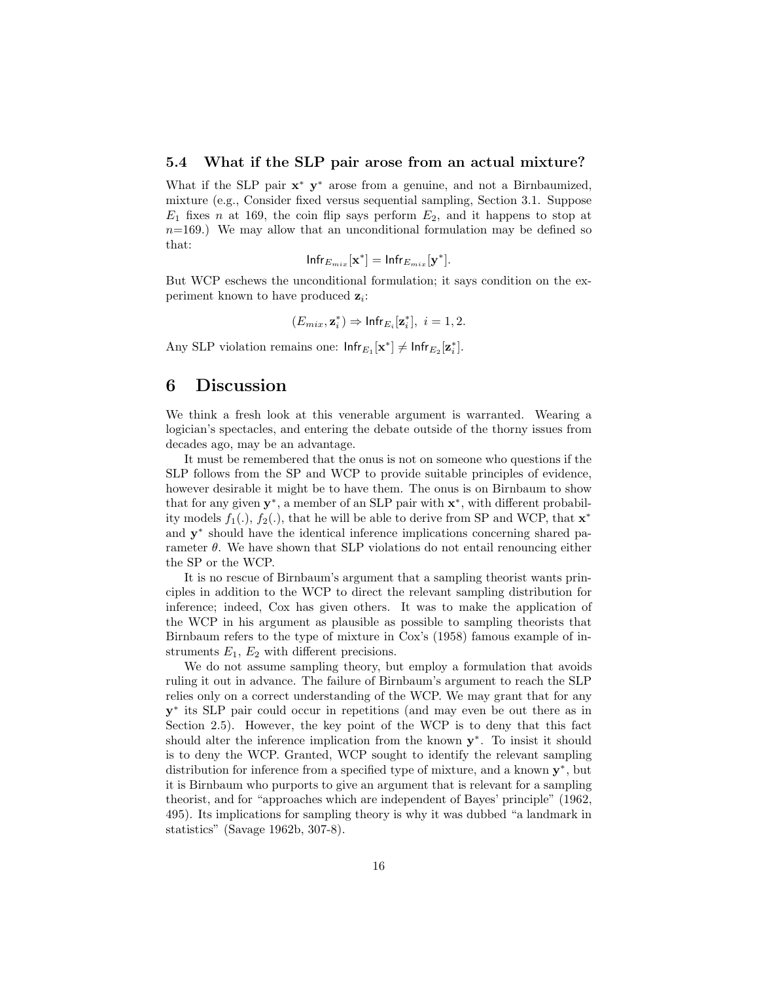#### 5.4 What if the SLP pair arose from an actual mixture?

What if the SLP pair  $\mathbf{x}^*$   $\mathbf{y}^*$  arose from a genuine, and not a Birnbaumized, mixture (e.g., Consider fixed versus sequential sampling, Section 3.1. Suppose  $E_1$  fixes n at 169, the coin flip says perform  $E_2$ , and it happens to stop at  $n=169$ .) We may allow that an unconditional formulation may be defined so that:

$$
\mathsf{Infr}_{E_{mix}}[\mathbf{x}^*] = \mathsf{Infr}_{E_{mix}}[\mathbf{y}^*].
$$

But WCP eschews the unconditional formulation; it says condition on the experiment known to have produced  $z_i$ :

$$
(E_{mix}, \mathbf{z}_i^*) \Rightarrow \mathsf{Infr}_{E_i}[\mathbf{z}_i^*], \ i = 1, 2.
$$

Any SLP violation remains one:  $\text{Infr}_{E_1}[\mathbf{x}^*] \neq \text{Infr}_{E_2}[\mathbf{z}_i^*].$ 

# 6 Discussion

We think a fresh look at this venerable argument is warranted. Wearing a logician's spectacles, and entering the debate outside of the thorny issues from decades ago, may be an advantage.

It must be remembered that the onus is not on someone who questions if the SLP follows from the SP and WCP to provide suitable principles of evidence, however desirable it might be to have them. The onus is on Birnbaum to show that for any given **y**<sup>\*</sup>, a member of an SLP pair with **x**<sup>\*</sup>, with different probability models  $f_1(.)$ ,  $f_2(.)$ , that he will be able to derive from SP and WCP, that  $\mathbf{x}^*$ and **y**<sup>∗</sup> should have the identical inference implications concerning shared parameter  $\theta$ . We have shown that SLP violations do not entail renouncing either the SP or the WCP.

It is no rescue of Birnbaum's argument that a sampling theorist wants principles in addition to the WCP to direct the relevant sampling distribution for inference; indeed, Cox has given others. It was to make the application of the WCP in his argument as plausible as possible to sampling theorists that Birnbaum refers to the type of mixture in Cox's (1958) famous example of instruments  $E_1, E_2$  with different precisions.

We do not assume sampling theory, but employ a formulation that avoids ruling it out in advance. The failure of Birnbaum's argument to reach the SLP relies only on a correct understanding of the WCP. We may grant that for any y<sup>\*</sup> its SLP pair could occur in repetitions (and may even be out there as in Section 2.5). However, the key point of the WCP is to deny that this fact should alter the inference implication from the known  $y^*$ . To insist it should is to deny the WCP. Granted, WCP sought to identify the relevant sampling distribution for inference from a specified type of mixture, and a known  $y^*$ , but it is Birnbaum who purports to give an argument that is relevant for a sampling theorist, and for "approaches which are independent of Bayes' principle" (1962, 495). Its implications for sampling theory is why it was dubbed "a landmark in statistics" (Savage 1962b, 307-8).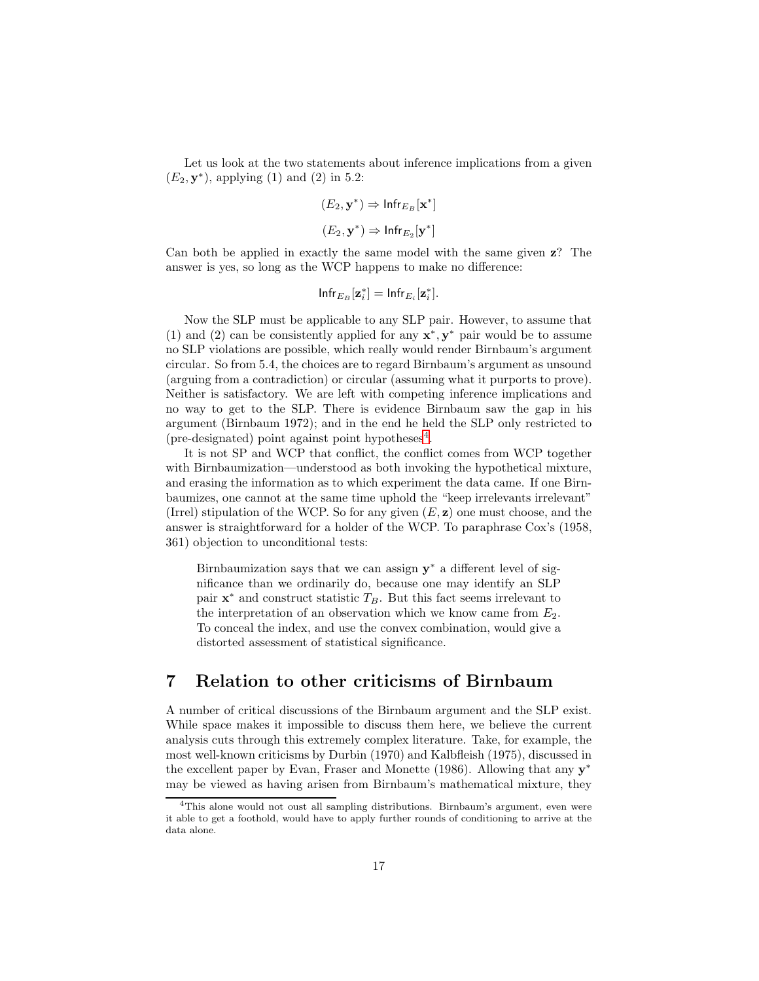Let us look at the two statements about inference implications from a given  $(E_2, y^*)$ , applying (1) and (2) in 5.2:

$$
(E_2, \mathbf{y}^*) \Rightarrow \mathsf{Infr}_{E_B}[\mathbf{x}^*]
$$
  

$$
(E_2, \mathbf{y}^*) \Rightarrow \mathsf{Infr}_{E_2}[\mathbf{y}^*]
$$

Can both be applied in exactly the same model with the same given z? The answer is yes, so long as the WCP happens to make no difference:

$$
\mathsf{Infr}_{E_B}[\mathbf{z}_i^*] = \mathsf{Infr}_{E_i}[\mathbf{z}_i^*].
$$

Now the SLP must be applicable to any SLP pair. However, to assume that (1) and (2) can be consistently applied for any  $\mathbf{x}^*, \mathbf{y}^*$  pair would be to assume no SLP violations are possible, which really would render Birnbaum's argument circular. So from 5.4, the choices are to regard Birnbaum's argument as unsound (arguing from a contradiction) or circular (assuming what it purports to prove). Neither is satisfactory. We are left with competing inference implications and no way to get to the SLP. There is evidence Birnbaum saw the gap in his argument (Birnbaum 1972); and in the end he held the SLP only restricted to (pre-designated) point against point hypotheses[4](#page-16-0) .

It is not SP and WCP that conflict, the conflict comes from WCP together with Birnbaumization—understood as both invoking the hypothetical mixture, and erasing the information as to which experiment the data came. If one Birnbaumizes, one cannot at the same time uphold the "keep irrelevants irrelevant" (Irrel) stipulation of the WCP. So for any given  $(E, z)$  one must choose, and the answer is straightforward for a holder of the WCP. To paraphrase Cox's (1958, 361) objection to unconditional tests:

Birnbaumization says that we can assign  $y^*$  a different level of significance than we ordinarily do, because one may identify an SLP pair  $\mathbf{x}^*$  and construct statistic  $T_B$ . But this fact seems irrelevant to the interpretation of an observation which we know came from  $E_2$ . To conceal the index, and use the convex combination, would give a distorted assessment of statistical significance.

# 7 Relation to other criticisms of Birnbaum

A number of critical discussions of the Birnbaum argument and the SLP exist. While space makes it impossible to discuss them here, we believe the current analysis cuts through this extremely complex literature. Take, for example, the most well-known criticisms by Durbin (1970) and Kalbfleish (1975), discussed in the excellent paper by Evan, Fraser and Monette (1986). Allowing that any  $y^*$ may be viewed as having arisen from Birnbaum's mathematical mixture, they

<span id="page-16-0"></span><sup>4</sup>This alone would not oust all sampling distributions. Birnbaum's argument, even were it able to get a foothold, would have to apply further rounds of conditioning to arrive at the data alone.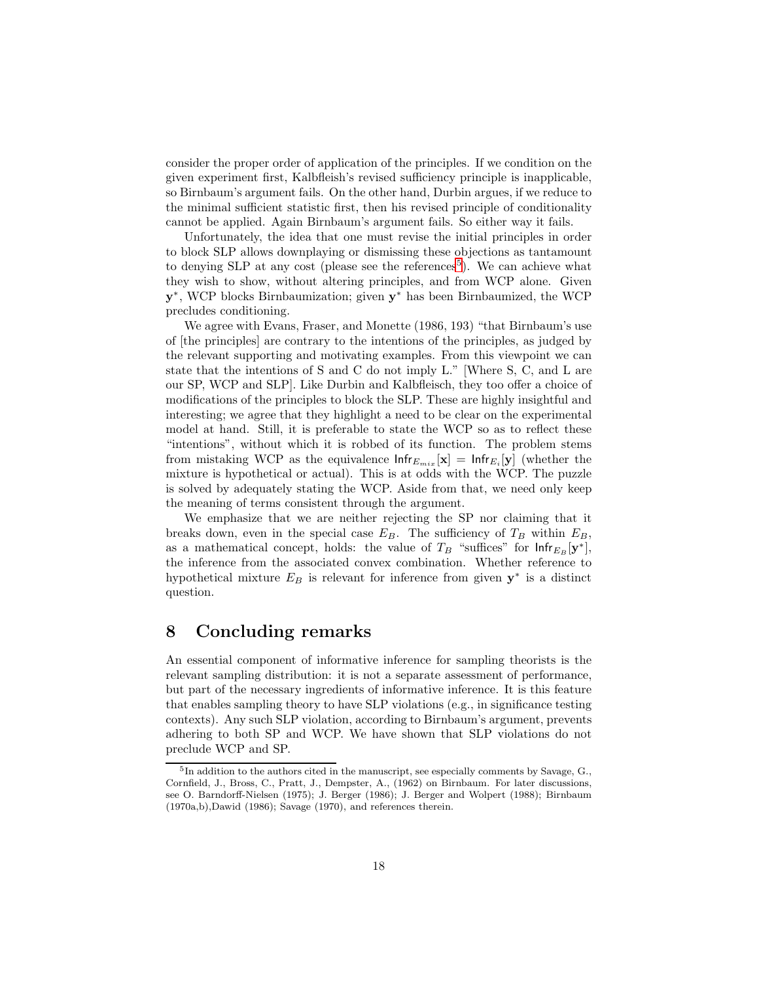consider the proper order of application of the principles. If we condition on the given experiment first, Kalbfleish's revised sufficiency principle is inapplicable, so Birnbaum's argument fails. On the other hand, Durbin argues, if we reduce to the minimal sufficient statistic first, then his revised principle of conditionality cannot be applied. Again Birnbaum's argument fails. So either way it fails.

Unfortunately, the idea that one must revise the initial principles in order to block SLP allows downplaying or dismissing these objections as tantamount to denying SLP at any cost (please see the references<sup>[5](#page-17-0)</sup>). We can achieve what they wish to show, without altering principles, and from WCP alone. Given y ∗ , WCP blocks Birnbaumization; given y <sup>∗</sup> has been Birnbaumized, the WCP precludes conditioning.

We agree with Evans, Fraser, and Monette (1986, 193) "that Birnbaum's use of [the principles] are contrary to the intentions of the principles, as judged by the relevant supporting and motivating examples. From this viewpoint we can state that the intentions of S and C do not imply L." [Where S, C, and L are our SP, WCP and SLP]. Like Durbin and Kalbfleisch, they too offer a choice of modifications of the principles to block the SLP. These are highly insightful and interesting; we agree that they highlight a need to be clear on the experimental model at hand. Still, it is preferable to state the WCP so as to reflect these "intentions", without which it is robbed of its function. The problem stems from mistaking WCP as the equivalence  $\text{Inf}_{E_{mix}}[\mathbf{x}] = \text{Inf}_{E_i}[\mathbf{y}]$  (whether the mixture is hypothetical or actual). This is at odds with the WCP. The puzzle is solved by adequately stating the WCP. Aside from that, we need only keep the meaning of terms consistent through the argument.

We emphasize that we are neither rejecting the SP nor claiming that it breaks down, even in the special case  $E_B$ . The sufficiency of  $T_B$  within  $E_B$ , as a mathematical concept, holds: the value of  $T_B$  "suffices" for  $\mathsf{Infr}_{E_B}[\mathbf{y}^*],$ the inference from the associated convex combination. Whether reference to hypothetical mixture  $E_B$  is relevant for inference from given  $y^*$  is a distinct question.

# 8 Concluding remarks

An essential component of informative inference for sampling theorists is the relevant sampling distribution: it is not a separate assessment of performance, but part of the necessary ingredients of informative inference. It is this feature that enables sampling theory to have SLP violations (e.g., in significance testing contexts). Any such SLP violation, according to Birnbaum's argument, prevents adhering to both SP and WCP. We have shown that SLP violations do not preclude WCP and SP.

<span id="page-17-0"></span><sup>&</sup>lt;sup>5</sup>In addition to the authors cited in the manuscript, see especially comments by Savage, G., Cornfield, J., Bross, C., Pratt, J., Dempster, A., (1962) on Birnbaum. For later discussions, see O. Barndorff-Nielsen (1975); J. Berger (1986); J. Berger and Wolpert (1988); Birnbaum (1970a,b),Dawid (1986); Savage (1970), and references therein.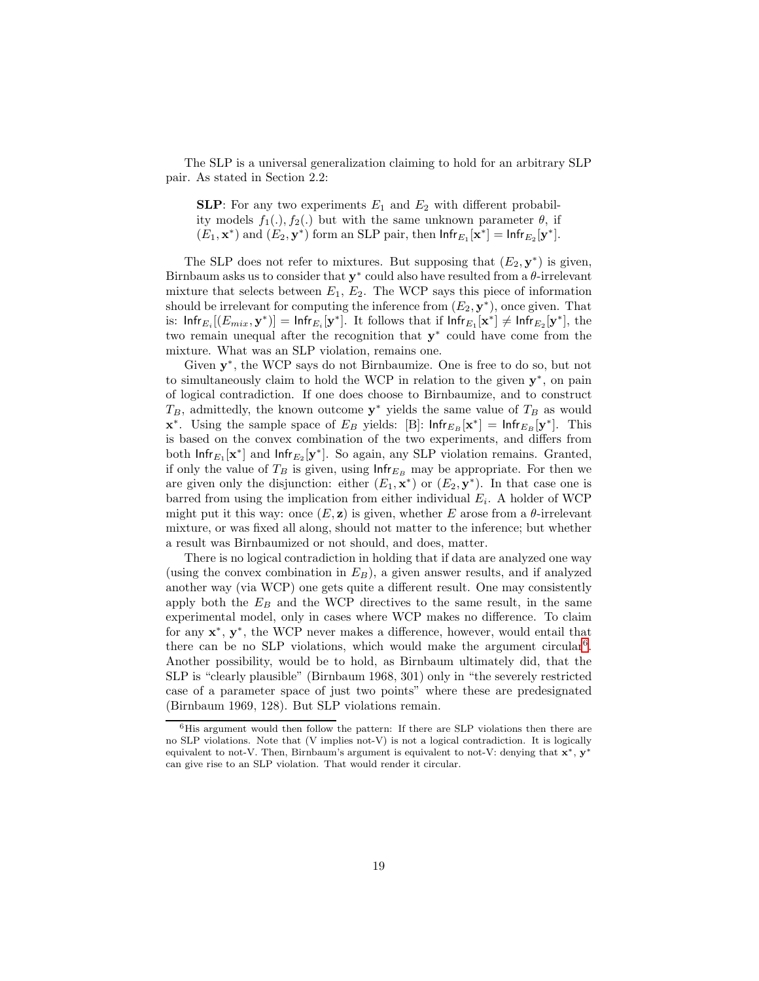The SLP is a universal generalization claiming to hold for an arbitrary SLP pair. As stated in Section 2.2:

**SLP**: For any two experiments  $E_1$  and  $E_2$  with different probability models  $f_1(.)$ ,  $f_2(.)$  but with the same unknown parameter  $\theta$ , if  $(E_1, \mathbf{x}^*)$  and  $(E_2, \mathbf{y}^*)$  form an SLP pair, then  $\mathsf{Infr}_{E_1}[\mathbf{x}^*] = \mathsf{Infr}_{E_2}[\mathbf{y}^*].$ 

The SLP does not refer to mixtures. But supposing that  $(E_2, \mathbf{y}^*)$  is given, Birnbaum asks us to consider that  $y^*$  could also have resulted from a  $\theta$ -irrelevant mixture that selects between  $E_1, E_2$ . The WCP says this piece of information should be irrelevant for computing the inference from  $(E_2, y^*)$ , once given. That is:  $\textsf{Infr}_{E_i}[(E_{mix}, \mathbf{y}^*)] = \textsf{Infr}_{E_i}[\mathbf{y}^*]$ . It follows that if  $\textsf{Infr}_{E_1}[\mathbf{x}^*] \neq \textsf{Infr}_{E_2}[\mathbf{y}^*]$ , the two remain unequal after the recognition that  $y^*$  could have come from the mixture. What was an SLP violation, remains one.

Given y ∗ , the WCP says do not Birnbaumize. One is free to do so, but not to simultaneously claim to hold the WCP in relation to the given  $y^*$ , on pain of logical contradiction. If one does choose to Birnbaumize, and to construct  $T_B$ , admittedly, the known outcome  $y^*$  yields the same value of  $T_B$  as would  $\mathbf{x}^*$ . Using the sample space of  $E_B$  yields: [B]:  $\mathsf{Infr}_{E_B}[\mathbf{x}^*] = \mathsf{Infr}_{E_B}[\mathbf{y}^*]$ . This is based on the convex combination of the two experiments, and differs from both  $\inf_{E_1} [\mathbf{x}^*]$  and  $\inf_{E_2} [\mathbf{y}^*]$ . So again, any SLP violation remains. Granted, if only the value of  $T_B$  is given, using  $\mathsf{Infr}_{E_B}$  may be appropriate. For then we are given only the disjunction: either  $(E_1, \mathbf{x}^*)$  or  $(E_2, \mathbf{y}^*)$ . In that case one is barred from using the implication from either individual  $E_i$ . A holder of WCP might put it this way: once  $(E, \mathbf{z})$  is given, whether E arose from a  $\theta$ -irrelevant mixture, or was fixed all along, should not matter to the inference; but whether a result was Birnbaumized or not should, and does, matter.

There is no logical contradiction in holding that if data are analyzed one way (using the convex combination in  $E_B$ ), a given answer results, and if analyzed another way (via WCP) one gets quite a different result. One may consistently apply both the  $E_B$  and the WCP directives to the same result, in the same experimental model, only in cases where WCP makes no difference. To claim for any  $x^*$ ,  $y^*$ , the WCP never makes a difference, however, would entail that there can be no SLP violations, which would make the argument circular<sup>[6](#page-18-0)</sup>. Another possibility, would be to hold, as Birnbaum ultimately did, that the SLP is "clearly plausible" (Birnbaum 1968, 301) only in "the severely restricted case of a parameter space of just two points" where these are predesignated (Birnbaum 1969, 128). But SLP violations remain.

<span id="page-18-0"></span> $6$ His argument would then follow the pattern: If there are SLP violations then there are no SLP violations. Note that (V implies not-V) is not a logical contradiction. It is logically equivalent to not-V. Then, Birnbaum's argument is equivalent to not-V: denying that  $\mathbf{x}^*, \mathbf{y}^*$ can give rise to an SLP violation. That would render it circular.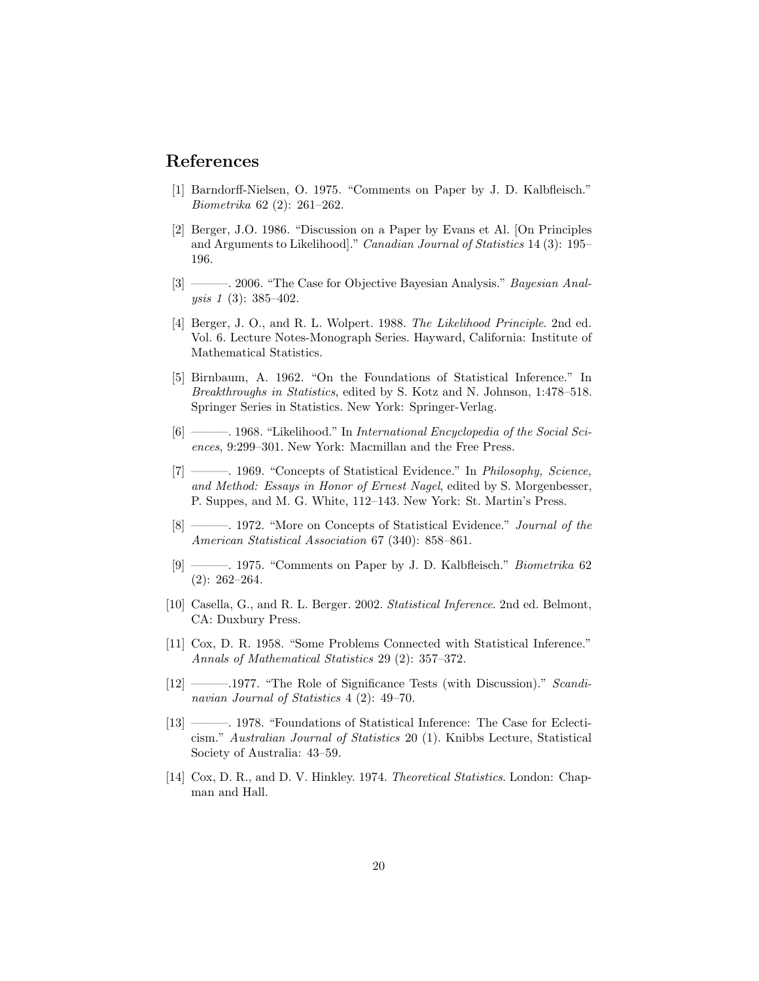# References

- [1] Barndorff-Nielsen, O. 1975. "Comments on Paper by J. D. Kalbfleisch." *Biometrika* 62 (2): 261–262.
- [2] Berger, J.O. 1986. "Discussion on a Paper by Evans et Al. [On Principles and Arguments to Likelihood]." *Canadian Journal of Statistics* 14 (3): 195– 196.
- [3] ———. 2006. "The Case for Objective Bayesian Analysis." *Bayesian Analysis 1* (3): 385–402.
- [4] Berger, J. O., and R. L. Wolpert. 1988. *The Likelihood Principle*. 2nd ed. Vol. 6. Lecture Notes-Monograph Series. Hayward, California: Institute of Mathematical Statistics.
- [5] Birnbaum, A. 1962. "On the Foundations of Statistical Inference." In *Breakthroughs in Statistics*, edited by S. Kotz and N. Johnson, 1:478–518. Springer Series in Statistics. New York: Springer-Verlag.
- [6] ———. 1968. "Likelihood." In *International Encyclopedia of the Social Sciences*, 9:299–301. New York: Macmillan and the Free Press.
- [7] ———. 1969. "Concepts of Statistical Evidence." In *Philosophy, Science, and Method: Essays in Honor of Ernest Nagel*, edited by S. Morgenbesser, P. Suppes, and M. G. White, 112–143. New York: St. Martin's Press.
- [8] ———. 1972. "More on Concepts of Statistical Evidence." *Journal of the American Statistical Association* 67 (340): 858–861.
- [9] ———. 1975. "Comments on Paper by J. D. Kalbfleisch." *Biometrika* 62 (2): 262–264.
- [10] Casella, G., and R. L. Berger. 2002. *Statistical Inference*. 2nd ed. Belmont, CA: Duxbury Press.
- [11] Cox, D. R. 1958. "Some Problems Connected with Statistical Inference." *Annals of Mathematical Statistics* 29 (2): 357–372.
- [12] ———.1977. "The Role of Significance Tests (with Discussion)." *Scandinavian Journal of Statistics* 4 (2): 49–70.
- [13] ———. 1978. "Foundations of Statistical Inference: The Case for Eclecticism." *Australian Journal of Statistics* 20 (1). Knibbs Lecture, Statistical Society of Australia: 43–59.
- [14] Cox, D. R., and D. V. Hinkley. 1974. *Theoretical Statistics*. London: Chapman and Hall.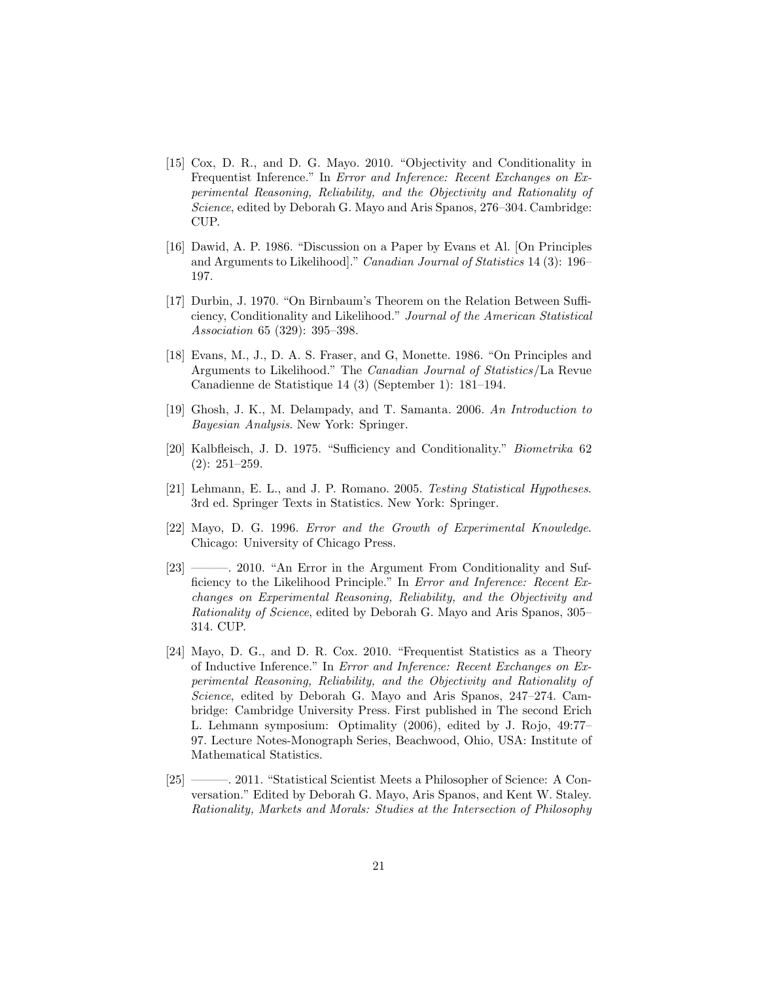- [15] Cox, D. R., and D. G. Mayo. 2010. "Objectivity and Conditionality in Frequentist Inference." In *Error and Inference: Recent Exchanges on Experimental Reasoning, Reliability, and the Objectivity and Rationality of Science*, edited by Deborah G. Mayo and Aris Spanos, 276–304. Cambridge: CUP.
- [16] Dawid, A. P. 1986. "Discussion on a Paper by Evans et Al. [On Principles and Arguments to Likelihood]." *Canadian Journal of Statistics* 14 (3): 196– 197.
- [17] Durbin, J. 1970. "On Birnbaum's Theorem on the Relation Between Sufficiency, Conditionality and Likelihood." *Journal of the American Statistical Association* 65 (329): 395–398.
- [18] Evans, M., J., D. A. S. Fraser, and G, Monette. 1986. "On Principles and Arguments to Likelihood." The *Canadian Journal of Statistics*/La Revue Canadienne de Statistique 14 (3) (September 1): 181–194.
- [19] Ghosh, J. K., M. Delampady, and T. Samanta. 2006. *An Introduction to Bayesian Analysis*. New York: Springer.
- [20] Kalbfleisch, J. D. 1975. "Sufficiency and Conditionality." *Biometrika* 62 (2): 251–259.
- [21] Lehmann, E. L., and J. P. Romano. 2005. *Testing Statistical Hypotheses*. 3rd ed. Springer Texts in Statistics. New York: Springer.
- [22] Mayo, D. G. 1996. *Error and the Growth of Experimental Knowledge*. Chicago: University of Chicago Press.
- [23] ———. 2010. "An Error in the Argument From Conditionality and Sufficiency to the Likelihood Principle." In *Error and Inference: Recent Exchanges on Experimental Reasoning, Reliability, and the Objectivity and Rationality of Science*, edited by Deborah G. Mayo and Aris Spanos, 305– 314. CUP.
- [24] Mayo, D. G., and D. R. Cox. 2010. "Frequentist Statistics as a Theory of Inductive Inference." In *Error and Inference: Recent Exchanges on Experimental Reasoning, Reliability, and the Objectivity and Rationality of Science*, edited by Deborah G. Mayo and Aris Spanos, 247–274. Cambridge: Cambridge University Press. First published in The second Erich L. Lehmann symposium: Optimality (2006), edited by J. Rojo, 49:77– 97. Lecture Notes-Monograph Series, Beachwood, Ohio, USA: Institute of Mathematical Statistics.
- [25] ———. 2011. "Statistical Scientist Meets a Philosopher of Science: A Conversation." Edited by Deborah G. Mayo, Aris Spanos, and Kent W. Staley. *Rationality, Markets and Morals: Studies at the Intersection of Philosophy*